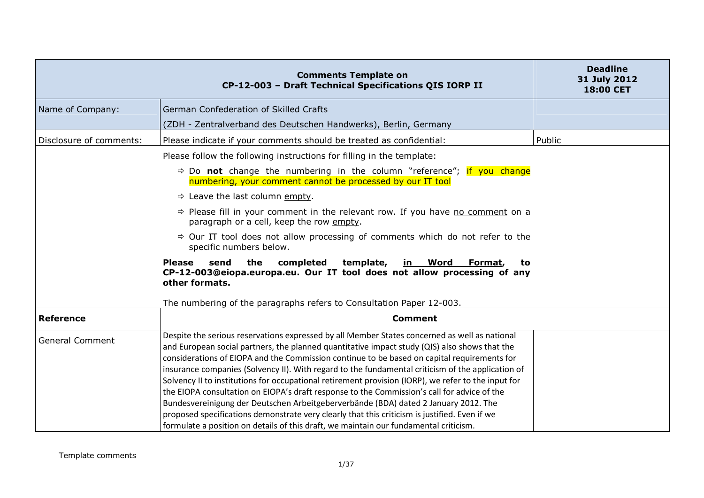| <b>Comments Template on</b><br>CP-12-003 - Draft Technical Specifications QIS IORP II                                                                                                                                                                                                                                                                                                                                                                                                                                                                                                                                                                                                                                                                                                            | <b>Deadline</b><br>31 July 2012<br>18:00 CET                                                                                                                                                                                                                                                                                                                     |
|--------------------------------------------------------------------------------------------------------------------------------------------------------------------------------------------------------------------------------------------------------------------------------------------------------------------------------------------------------------------------------------------------------------------------------------------------------------------------------------------------------------------------------------------------------------------------------------------------------------------------------------------------------------------------------------------------------------------------------------------------------------------------------------------------|------------------------------------------------------------------------------------------------------------------------------------------------------------------------------------------------------------------------------------------------------------------------------------------------------------------------------------------------------------------|
| German Confederation of Skilled Crafts                                                                                                                                                                                                                                                                                                                                                                                                                                                                                                                                                                                                                                                                                                                                                           |                                                                                                                                                                                                                                                                                                                                                                  |
| (ZDH - Zentralverband des Deutschen Handwerks), Berlin, Germany                                                                                                                                                                                                                                                                                                                                                                                                                                                                                                                                                                                                                                                                                                                                  |                                                                                                                                                                                                                                                                                                                                                                  |
| Please indicate if your comments should be treated as confidential:                                                                                                                                                                                                                                                                                                                                                                                                                                                                                                                                                                                                                                                                                                                              | Public                                                                                                                                                                                                                                                                                                                                                           |
| Please follow the following instructions for filling in the template:                                                                                                                                                                                                                                                                                                                                                                                                                                                                                                                                                                                                                                                                                                                            |                                                                                                                                                                                                                                                                                                                                                                  |
| numbering, your comment cannot be processed by our IT tool                                                                                                                                                                                                                                                                                                                                                                                                                                                                                                                                                                                                                                                                                                                                       |                                                                                                                                                                                                                                                                                                                                                                  |
| $\Rightarrow$ Leave the last column empty.                                                                                                                                                                                                                                                                                                                                                                                                                                                                                                                                                                                                                                                                                                                                                       |                                                                                                                                                                                                                                                                                                                                                                  |
| $\Rightarrow$ Please fill in your comment in the relevant row. If you have no comment on a<br>paragraph or a cell, keep the row empty.                                                                                                                                                                                                                                                                                                                                                                                                                                                                                                                                                                                                                                                           |                                                                                                                                                                                                                                                                                                                                                                  |
| specific numbers below.                                                                                                                                                                                                                                                                                                                                                                                                                                                                                                                                                                                                                                                                                                                                                                          |                                                                                                                                                                                                                                                                                                                                                                  |
| completed<br><u>in Word</u><br><b>Please</b><br>send<br>the<br>template,<br>Format,<br>other formats.                                                                                                                                                                                                                                                                                                                                                                                                                                                                                                                                                                                                                                                                                            |                                                                                                                                                                                                                                                                                                                                                                  |
| The numbering of the paragraphs refers to Consultation Paper 12-003.                                                                                                                                                                                                                                                                                                                                                                                                                                                                                                                                                                                                                                                                                                                             |                                                                                                                                                                                                                                                                                                                                                                  |
| <b>Comment</b>                                                                                                                                                                                                                                                                                                                                                                                                                                                                                                                                                                                                                                                                                                                                                                                   |                                                                                                                                                                                                                                                                                                                                                                  |
| Despite the serious reservations expressed by all Member States concerned as well as national<br>and European social partners, the planned quantitative impact study (QIS) also shows that the<br>considerations of EIOPA and the Commission continue to be based on capital requirements for<br>insurance companies (Solvency II). With regard to the fundamental criticism of the application of<br>Solvency II to institutions for occupational retirement provision (IORP), we refer to the input for<br>the EIOPA consultation on EIOPA's draft response to the Commission's call for advice of the<br>Bundesvereinigung der Deutschen Arbeitgeberverbände (BDA) dated 2 January 2012. The<br>proposed specifications demonstrate very clearly that this criticism is justified. Even if we |                                                                                                                                                                                                                                                                                                                                                                  |
|                                                                                                                                                                                                                                                                                                                                                                                                                                                                                                                                                                                                                                                                                                                                                                                                  | $\Rightarrow$ Do <b>not</b> change the numbering in the column "reference"; if you change<br>$\Rightarrow$ Our IT tool does not allow processing of comments which do not refer to the<br>to<br>CP-12-003@eiopa.europa.eu. Our IT tool does not allow processing of any<br>formulate a position on details of this draft, we maintain our fundamental criticism. |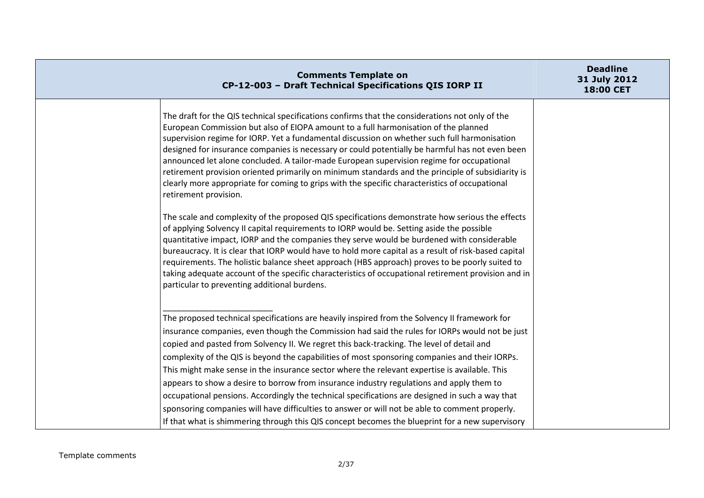| <b>Comments Template on</b><br>CP-12-003 - Draft Technical Specifications QIS IORP II                                                                                                                                                                                                                                                                                                                                                                                                                                                                                                                                                                                                                                                                                                                                                                                                               | <b>Deadline</b><br>31 July 2012<br>18:00 CET |
|-----------------------------------------------------------------------------------------------------------------------------------------------------------------------------------------------------------------------------------------------------------------------------------------------------------------------------------------------------------------------------------------------------------------------------------------------------------------------------------------------------------------------------------------------------------------------------------------------------------------------------------------------------------------------------------------------------------------------------------------------------------------------------------------------------------------------------------------------------------------------------------------------------|----------------------------------------------|
| The draft for the QIS technical specifications confirms that the considerations not only of the<br>European Commission but also of EIOPA amount to a full harmonisation of the planned<br>supervision regime for IORP. Yet a fundamental discussion on whether such full harmonisation<br>designed for insurance companies is necessary or could potentially be harmful has not even been<br>announced let alone concluded. A tailor-made European supervision regime for occupational<br>retirement provision oriented primarily on minimum standards and the principle of subsidiarity is<br>clearly more appropriate for coming to grips with the specific characteristics of occupational<br>retirement provision.                                                                                                                                                                              |                                              |
| The scale and complexity of the proposed QIS specifications demonstrate how serious the effects<br>of applying Solvency II capital requirements to IORP would be. Setting aside the possible<br>quantitative impact, IORP and the companies they serve would be burdened with considerable<br>bureaucracy. It is clear that IORP would have to hold more capital as a result of risk-based capital<br>requirements. The holistic balance sheet approach (HBS approach) proves to be poorly suited to<br>taking adequate account of the specific characteristics of occupational retirement provision and in<br>particular to preventing additional burdens.                                                                                                                                                                                                                                         |                                              |
| The proposed technical specifications are heavily inspired from the Solvency II framework for<br>insurance companies, even though the Commission had said the rules for IORPs would not be just<br>copied and pasted from Solvency II. We regret this back-tracking. The level of detail and<br>complexity of the QIS is beyond the capabilities of most sponsoring companies and their IORPs.<br>This might make sense in the insurance sector where the relevant expertise is available. This<br>appears to show a desire to borrow from insurance industry regulations and apply them to<br>occupational pensions. Accordingly the technical specifications are designed in such a way that<br>sponsoring companies will have difficulties to answer or will not be able to comment properly.<br>If that what is shimmering through this QIS concept becomes the blueprint for a new supervisory |                                              |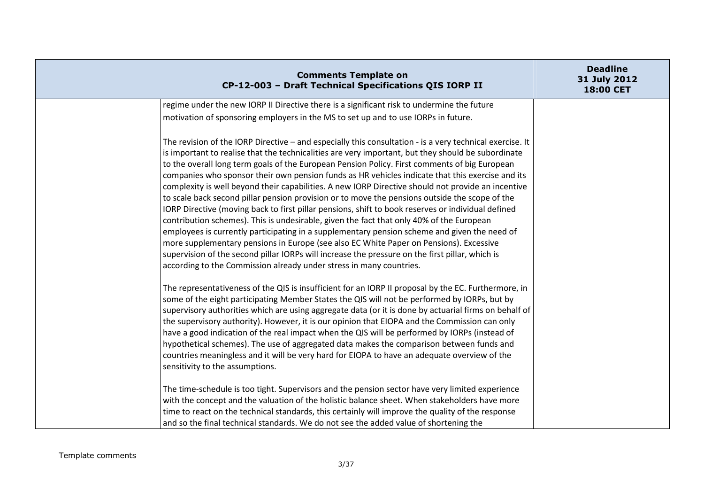| <b>Comments Template on</b><br>CP-12-003 - Draft Technical Specifications QIS IORP II                                                                                                                                                                                                                                                                                                                                                                                                                                                                                                                                                                                                                                                                                                                                                                                                                                                                                                                                                                                                                                                                                                             | <b>Deadline</b><br>31 July 2012<br>18:00 CET |
|---------------------------------------------------------------------------------------------------------------------------------------------------------------------------------------------------------------------------------------------------------------------------------------------------------------------------------------------------------------------------------------------------------------------------------------------------------------------------------------------------------------------------------------------------------------------------------------------------------------------------------------------------------------------------------------------------------------------------------------------------------------------------------------------------------------------------------------------------------------------------------------------------------------------------------------------------------------------------------------------------------------------------------------------------------------------------------------------------------------------------------------------------------------------------------------------------|----------------------------------------------|
| regime under the new IORP II Directive there is a significant risk to undermine the future                                                                                                                                                                                                                                                                                                                                                                                                                                                                                                                                                                                                                                                                                                                                                                                                                                                                                                                                                                                                                                                                                                        |                                              |
| motivation of sponsoring employers in the MS to set up and to use IORPs in future.                                                                                                                                                                                                                                                                                                                                                                                                                                                                                                                                                                                                                                                                                                                                                                                                                                                                                                                                                                                                                                                                                                                |                                              |
| The revision of the IORP Directive - and especially this consultation - is a very technical exercise. It<br>is important to realise that the technicalities are very important, but they should be subordinate<br>to the overall long term goals of the European Pension Policy. First comments of big European<br>companies who sponsor their own pension funds as HR vehicles indicate that this exercise and its<br>complexity is well beyond their capabilities. A new IORP Directive should not provide an incentive<br>to scale back second pillar pension provision or to move the pensions outside the scope of the<br>IORP Directive (moving back to first pillar pensions, shift to book reserves or individual defined<br>contribution schemes). This is undesirable, given the fact that only 40% of the European<br>employees is currently participating in a supplementary pension scheme and given the need of<br>more supplementary pensions in Europe (see also EC White Paper on Pensions). Excessive<br>supervision of the second pillar IORPs will increase the pressure on the first pillar, which is<br>according to the Commission already under stress in many countries. |                                              |
| The representativeness of the QIS is insufficient for an IORP II proposal by the EC. Furthermore, in<br>some of the eight participating Member States the QIS will not be performed by IORPs, but by<br>supervisory authorities which are using aggregate data (or it is done by actuarial firms on behalf of<br>the supervisory authority). However, it is our opinion that EIOPA and the Commission can only<br>have a good indication of the real impact when the QIS will be performed by IORPs (instead of<br>hypothetical schemes). The use of aggregated data makes the comparison between funds and<br>countries meaningless and it will be very hard for EIOPA to have an adequate overview of the<br>sensitivity to the assumptions.                                                                                                                                                                                                                                                                                                                                                                                                                                                    |                                              |
| The time-schedule is too tight. Supervisors and the pension sector have very limited experience<br>with the concept and the valuation of the holistic balance sheet. When stakeholders have more<br>time to react on the technical standards, this certainly will improve the quality of the response<br>and so the final technical standards. We do not see the added value of shortening the                                                                                                                                                                                                                                                                                                                                                                                                                                                                                                                                                                                                                                                                                                                                                                                                    |                                              |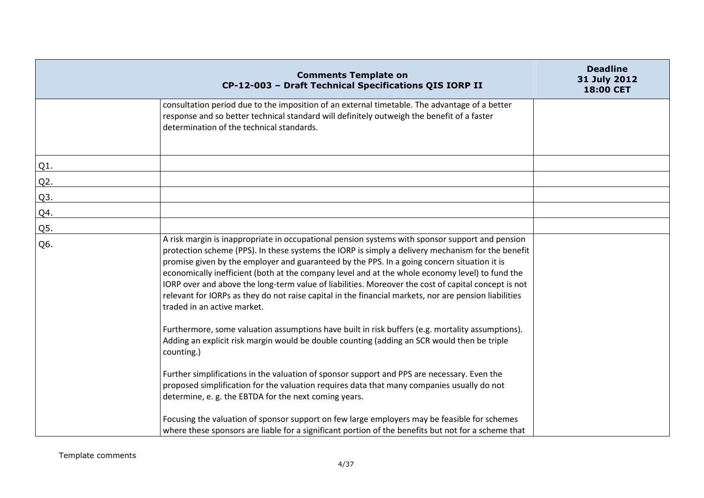|        | <b>Comments Template on</b><br>CP-12-003 - Draft Technical Specifications QIS IORP II                                                                                                                                                                                                                                                                                                                                                                                                                                                                                                                                                                 | <b>Deadline</b><br>31 July 2012<br>18:00 CET |
|--------|-------------------------------------------------------------------------------------------------------------------------------------------------------------------------------------------------------------------------------------------------------------------------------------------------------------------------------------------------------------------------------------------------------------------------------------------------------------------------------------------------------------------------------------------------------------------------------------------------------------------------------------------------------|----------------------------------------------|
|        | consultation period due to the imposition of an external timetable. The advantage of a better<br>response and so better technical standard will definitely outweigh the benefit of a faster<br>determination of the technical standards.                                                                                                                                                                                                                                                                                                                                                                                                              |                                              |
| $Q1$ . |                                                                                                                                                                                                                                                                                                                                                                                                                                                                                                                                                                                                                                                       |                                              |
| Q2.    |                                                                                                                                                                                                                                                                                                                                                                                                                                                                                                                                                                                                                                                       |                                              |
| Q3.    |                                                                                                                                                                                                                                                                                                                                                                                                                                                                                                                                                                                                                                                       |                                              |
| Q4.    |                                                                                                                                                                                                                                                                                                                                                                                                                                                                                                                                                                                                                                                       |                                              |
| Q5.    |                                                                                                                                                                                                                                                                                                                                                                                                                                                                                                                                                                                                                                                       |                                              |
| Q6.    | A risk margin is inappropriate in occupational pension systems with sponsor support and pension<br>protection scheme (PPS). In these systems the IORP is simply a delivery mechanism for the benefit<br>promise given by the employer and guaranteed by the PPS. In a going concern situation it is<br>economically inefficient (both at the company level and at the whole economy level) to fund the<br>IORP over and above the long-term value of liabilities. Moreover the cost of capital concept is not<br>relevant for IORPs as they do not raise capital in the financial markets, nor are pension liabilities<br>traded in an active market. |                                              |
|        | Furthermore, some valuation assumptions have built in risk buffers (e.g. mortality assumptions).<br>Adding an explicit risk margin would be double counting (adding an SCR would then be triple<br>counting.)                                                                                                                                                                                                                                                                                                                                                                                                                                         |                                              |
|        | Further simplifications in the valuation of sponsor support and PPS are necessary. Even the<br>proposed simplification for the valuation requires data that many companies usually do not<br>determine, e.g. the EBTDA for the next coming years.                                                                                                                                                                                                                                                                                                                                                                                                     |                                              |
|        | Focusing the valuation of sponsor support on few large employers may be feasible for schemes<br>where these sponsors are liable for a significant portion of the benefits but not for a scheme that                                                                                                                                                                                                                                                                                                                                                                                                                                                   |                                              |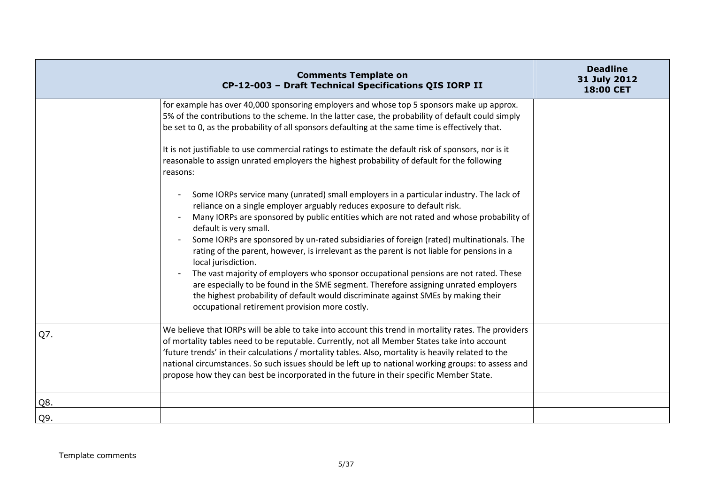|     | <b>Comments Template on</b><br>CP-12-003 - Draft Technical Specifications QIS IORP II                                                                                                                                                                                                                                                                                                                                                                                                                                                                                                                                                                                                                                                                                                                                               | <b>Deadline</b><br>31 July 2012<br>18:00 CET |
|-----|-------------------------------------------------------------------------------------------------------------------------------------------------------------------------------------------------------------------------------------------------------------------------------------------------------------------------------------------------------------------------------------------------------------------------------------------------------------------------------------------------------------------------------------------------------------------------------------------------------------------------------------------------------------------------------------------------------------------------------------------------------------------------------------------------------------------------------------|----------------------------------------------|
|     | for example has over 40,000 sponsoring employers and whose top 5 sponsors make up approx.<br>5% of the contributions to the scheme. In the latter case, the probability of default could simply<br>be set to 0, as the probability of all sponsors defaulting at the same time is effectively that.                                                                                                                                                                                                                                                                                                                                                                                                                                                                                                                                 |                                              |
|     | It is not justifiable to use commercial ratings to estimate the default risk of sponsors, nor is it<br>reasonable to assign unrated employers the highest probability of default for the following<br>reasons:                                                                                                                                                                                                                                                                                                                                                                                                                                                                                                                                                                                                                      |                                              |
|     | Some IORPs service many (unrated) small employers in a particular industry. The lack of<br>reliance on a single employer arguably reduces exposure to default risk.<br>Many IORPs are sponsored by public entities which are not rated and whose probability of<br>default is very small.<br>Some IORPs are sponsored by un-rated subsidiaries of foreign (rated) multinationals. The<br>rating of the parent, however, is irrelevant as the parent is not liable for pensions in a<br>local jurisdiction.<br>The vast majority of employers who sponsor occupational pensions are not rated. These<br>are especially to be found in the SME segment. Therefore assigning unrated employers<br>the highest probability of default would discriminate against SMEs by making their<br>occupational retirement provision more costly. |                                              |
| Q7. | We believe that IORPs will be able to take into account this trend in mortality rates. The providers<br>of mortality tables need to be reputable. Currently, not all Member States take into account<br>'future trends' in their calculations / mortality tables. Also, mortality is heavily related to the<br>national circumstances. So such issues should be left up to national working groups: to assess and<br>propose how they can best be incorporated in the future in their specific Member State.                                                                                                                                                                                                                                                                                                                        |                                              |
| Q8. |                                                                                                                                                                                                                                                                                                                                                                                                                                                                                                                                                                                                                                                                                                                                                                                                                                     |                                              |
| Q9. |                                                                                                                                                                                                                                                                                                                                                                                                                                                                                                                                                                                                                                                                                                                                                                                                                                     |                                              |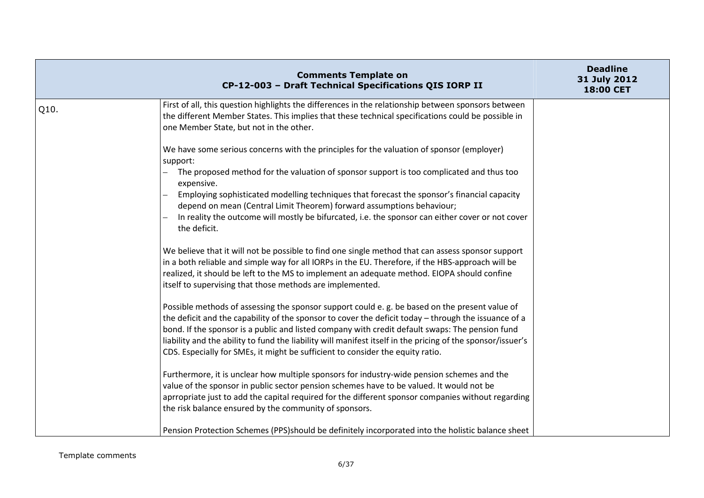|      | <b>Comments Template on</b><br>CP-12-003 - Draft Technical Specifications QIS IORP II                                                                                                                                                                                                                                                                                                                                                                                                                                                                                                                                                                                                                                 | <b>Deadline</b><br>31 July 2012<br>18:00 CET |
|------|-----------------------------------------------------------------------------------------------------------------------------------------------------------------------------------------------------------------------------------------------------------------------------------------------------------------------------------------------------------------------------------------------------------------------------------------------------------------------------------------------------------------------------------------------------------------------------------------------------------------------------------------------------------------------------------------------------------------------|----------------------------------------------|
| Q10. | First of all, this question highlights the differences in the relationship between sponsors between<br>the different Member States. This implies that these technical specifications could be possible in<br>one Member State, but not in the other.                                                                                                                                                                                                                                                                                                                                                                                                                                                                  |                                              |
|      | We have some serious concerns with the principles for the valuation of sponsor (employer)<br>support:<br>The proposed method for the valuation of sponsor support is too complicated and thus too<br>expensive.<br>Employing sophisticated modelling techniques that forecast the sponsor's financial capacity<br>depend on mean (Central Limit Theorem) forward assumptions behaviour;<br>In reality the outcome will mostly be bifurcated, i.e. the sponsor can either cover or not cover<br>the deficit.<br>We believe that it will not be possible to find one single method that can assess sponsor support<br>in a both reliable and simple way for all IORPs in the EU. Therefore, if the HBS-approach will be |                                              |
|      | realized, it should be left to the MS to implement an adequate method. EIOPA should confine<br>itself to supervising that those methods are implemented.<br>Possible methods of assessing the sponsor support could e. g. be based on the present value of<br>the deficit and the capability of the sponsor to cover the deficit today - through the issuance of a<br>bond. If the sponsor is a public and listed company with credit default swaps: The pension fund<br>liability and the ability to fund the liability will manifest itself in the pricing of the sponsor/issuer's                                                                                                                                  |                                              |
|      | CDS. Especially for SMEs, it might be sufficient to consider the equity ratio.<br>Furthermore, it is unclear how multiple sponsors for industry-wide pension schemes and the<br>value of the sponsor in public sector pension schemes have to be valued. It would not be<br>aprropriate just to add the capital required for the different sponsor companies without regarding<br>the risk balance ensured by the community of sponsors.<br>Pension Protection Schemes (PPS)should be definitely incorporated into the holistic balance sheet                                                                                                                                                                         |                                              |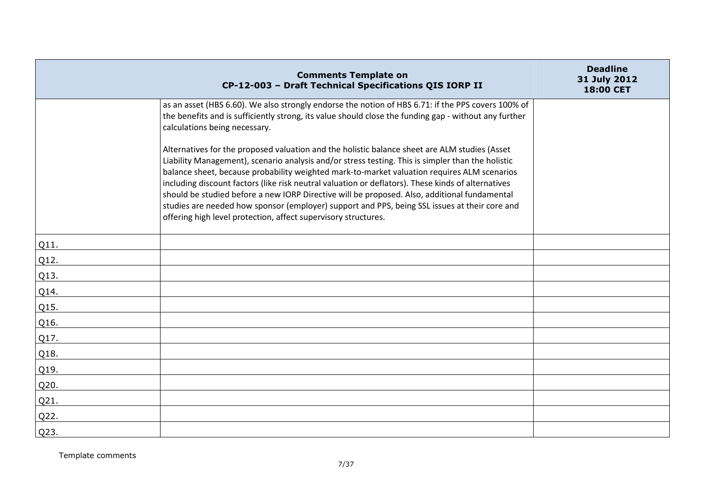|      | <b>Comments Template on</b><br>CP-12-003 - Draft Technical Specifications QIS IORP II                                                                                                                                                                                                                                                                                                                                                                                                                                                                                                                                                                                      | <b>Deadline</b><br>31 July 2012<br>18:00 CET |
|------|----------------------------------------------------------------------------------------------------------------------------------------------------------------------------------------------------------------------------------------------------------------------------------------------------------------------------------------------------------------------------------------------------------------------------------------------------------------------------------------------------------------------------------------------------------------------------------------------------------------------------------------------------------------------------|----------------------------------------------|
|      | as an asset (HBS 6.60). We also strongly endorse the notion of HBS 6.71: if the PPS covers 100% of<br>the benefits and is sufficiently strong, its value should close the funding gap - without any further<br>calculations being necessary.                                                                                                                                                                                                                                                                                                                                                                                                                               |                                              |
|      | Alternatives for the proposed valuation and the holistic balance sheet are ALM studies (Asset<br>Liability Management), scenario analysis and/or stress testing. This is simpler than the holistic<br>balance sheet, because probability weighted mark-to-market valuation requires ALM scenarios<br>including discount factors (like risk neutral valuation or deflators). These kinds of alternatives<br>should be studied before a new IORP Directive will be proposed. Also, additional fundamental<br>studies are needed how sponsor (employer) support and PPS, being SSL issues at their core and<br>offering high level protection, affect supervisory structures. |                                              |
| Q11. |                                                                                                                                                                                                                                                                                                                                                                                                                                                                                                                                                                                                                                                                            |                                              |
| Q12. |                                                                                                                                                                                                                                                                                                                                                                                                                                                                                                                                                                                                                                                                            |                                              |
| Q13. |                                                                                                                                                                                                                                                                                                                                                                                                                                                                                                                                                                                                                                                                            |                                              |
| Q14. |                                                                                                                                                                                                                                                                                                                                                                                                                                                                                                                                                                                                                                                                            |                                              |
| Q15. |                                                                                                                                                                                                                                                                                                                                                                                                                                                                                                                                                                                                                                                                            |                                              |
| Q16. |                                                                                                                                                                                                                                                                                                                                                                                                                                                                                                                                                                                                                                                                            |                                              |
| Q17. |                                                                                                                                                                                                                                                                                                                                                                                                                                                                                                                                                                                                                                                                            |                                              |
| Q18. |                                                                                                                                                                                                                                                                                                                                                                                                                                                                                                                                                                                                                                                                            |                                              |
| Q19. |                                                                                                                                                                                                                                                                                                                                                                                                                                                                                                                                                                                                                                                                            |                                              |
| Q20. |                                                                                                                                                                                                                                                                                                                                                                                                                                                                                                                                                                                                                                                                            |                                              |
| Q21. |                                                                                                                                                                                                                                                                                                                                                                                                                                                                                                                                                                                                                                                                            |                                              |
| Q22. |                                                                                                                                                                                                                                                                                                                                                                                                                                                                                                                                                                                                                                                                            |                                              |
| Q23. |                                                                                                                                                                                                                                                                                                                                                                                                                                                                                                                                                                                                                                                                            |                                              |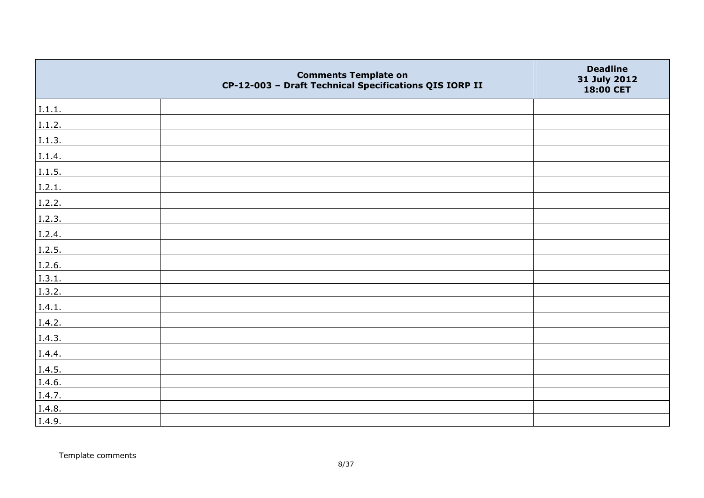|        | <b>Comments Template on</b><br>CP-12-003 - Draft Technical Specifications QIS IORP II | <b>Deadline</b><br>31 July 2012<br>18:00 CET |
|--------|---------------------------------------------------------------------------------------|----------------------------------------------|
| 1.1.1. |                                                                                       |                                              |
| I.1.2. |                                                                                       |                                              |
| I.1.3. |                                                                                       |                                              |
| I.1.4. |                                                                                       |                                              |
| I.1.5. |                                                                                       |                                              |
| 1.2.1. |                                                                                       |                                              |
| I.2.2. |                                                                                       |                                              |
| I.2.3. |                                                                                       |                                              |
| I.2.4. |                                                                                       |                                              |
| I.2.5. |                                                                                       |                                              |
| I.2.6. |                                                                                       |                                              |
| I.3.1. |                                                                                       |                                              |
| I.3.2. |                                                                                       |                                              |
| I.4.1. |                                                                                       |                                              |
| I.4.2. |                                                                                       |                                              |
| I.4.3. |                                                                                       |                                              |
| I.4.4. |                                                                                       |                                              |
| I.4.5. |                                                                                       |                                              |
| I.4.6. |                                                                                       |                                              |
| I.4.7. |                                                                                       |                                              |
| I.4.8. |                                                                                       |                                              |
| I.4.9. |                                                                                       |                                              |

Template comments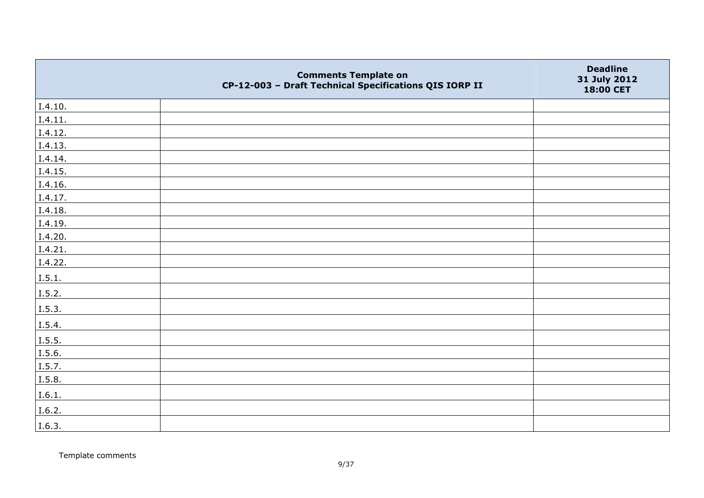|         | <b>Comments Template on</b><br>CP-12-003 - Draft Technical Specifications QIS IORP II | <b>Deadline</b><br>31 July 2012<br>18:00 CET |
|---------|---------------------------------------------------------------------------------------|----------------------------------------------|
| I.4.10. |                                                                                       |                                              |
| I.4.11. |                                                                                       |                                              |
| I.4.12. |                                                                                       |                                              |
| I.4.13. |                                                                                       |                                              |
| I.4.14. |                                                                                       |                                              |
| I.4.15. |                                                                                       |                                              |
| I.4.16. |                                                                                       |                                              |
| I.4.17. |                                                                                       |                                              |
| I.4.18. |                                                                                       |                                              |
| I.4.19. |                                                                                       |                                              |
| I.4.20. |                                                                                       |                                              |
| I.4.21. |                                                                                       |                                              |
| I.4.22. |                                                                                       |                                              |
| I.5.1.  |                                                                                       |                                              |
| I.5.2.  |                                                                                       |                                              |
| I.5.3.  |                                                                                       |                                              |
| I.5.4.  |                                                                                       |                                              |
| I.5.5.  |                                                                                       |                                              |
| I.5.6.  |                                                                                       |                                              |
| I.5.7.  |                                                                                       |                                              |
| I.5.8.  |                                                                                       |                                              |
| I.6.1.  |                                                                                       |                                              |
| I.6.2.  |                                                                                       |                                              |
| I.6.3.  |                                                                                       |                                              |

Template comments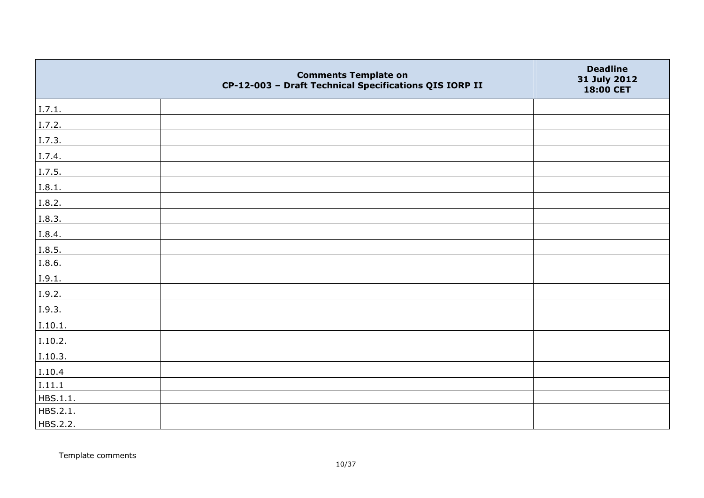|          | <b>Comments Template on</b><br>CP-12-003 - Draft Technical Specifications QIS IORP II | <b>Deadline</b><br>31 July 2012<br>18:00 CET |
|----------|---------------------------------------------------------------------------------------|----------------------------------------------|
| I.7.1.   |                                                                                       |                                              |
| I.7.2.   |                                                                                       |                                              |
| I.7.3.   |                                                                                       |                                              |
| I.7.4.   |                                                                                       |                                              |
| I.7.5.   |                                                                                       |                                              |
| I.8.1.   |                                                                                       |                                              |
| I.8.2.   |                                                                                       |                                              |
| I.8.3.   |                                                                                       |                                              |
| I.8.4.   |                                                                                       |                                              |
| I.8.5.   |                                                                                       |                                              |
| I.8.6.   |                                                                                       |                                              |
| I.9.1.   |                                                                                       |                                              |
| I.9.2.   |                                                                                       |                                              |
| I.9.3.   |                                                                                       |                                              |
| I.10.1.  |                                                                                       |                                              |
| I.10.2.  |                                                                                       |                                              |
| I.10.3.  |                                                                                       |                                              |
| I.10.4   |                                                                                       |                                              |
| I.11.1   |                                                                                       |                                              |
| HBS.1.1. |                                                                                       |                                              |
| HBS.2.1. |                                                                                       |                                              |
| HBS.2.2. |                                                                                       |                                              |

Template comments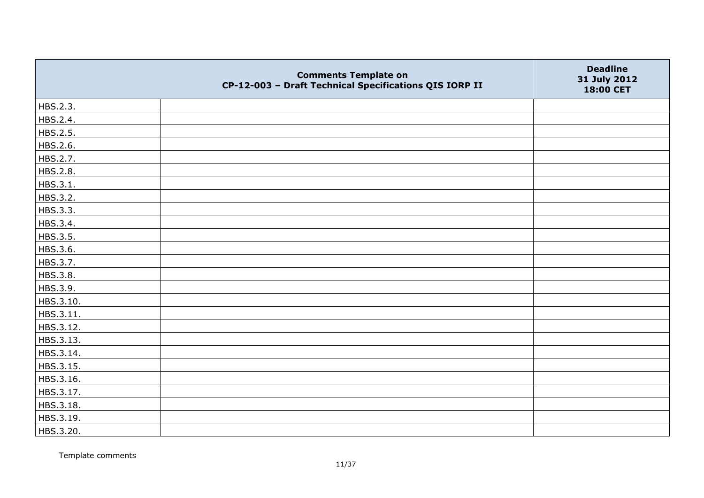|           | <b>Comments Template on</b><br>CP-12-003 - Draft Technical Specifications QIS IORP II | <b>Deadline</b><br>31 July 2012<br>18:00 CET |
|-----------|---------------------------------------------------------------------------------------|----------------------------------------------|
| HBS.2.3.  |                                                                                       |                                              |
| HBS.2.4.  |                                                                                       |                                              |
| HBS.2.5.  |                                                                                       |                                              |
| HBS.2.6.  |                                                                                       |                                              |
| HBS.2.7.  |                                                                                       |                                              |
| HBS.2.8.  |                                                                                       |                                              |
| HBS.3.1.  |                                                                                       |                                              |
| HBS.3.2.  |                                                                                       |                                              |
| HBS.3.3.  |                                                                                       |                                              |
| HBS.3.4.  |                                                                                       |                                              |
| HBS.3.5.  |                                                                                       |                                              |
| HBS.3.6.  |                                                                                       |                                              |
| HBS.3.7.  |                                                                                       |                                              |
| HBS.3.8.  |                                                                                       |                                              |
| HBS.3.9.  |                                                                                       |                                              |
| HBS.3.10. |                                                                                       |                                              |
| HBS.3.11. |                                                                                       |                                              |
| HBS.3.12. |                                                                                       |                                              |
| HBS.3.13. |                                                                                       |                                              |
| HBS.3.14. |                                                                                       |                                              |
| HBS.3.15. |                                                                                       |                                              |
| HBS.3.16. |                                                                                       |                                              |
| HBS.3.17. |                                                                                       |                                              |
| HBS.3.18. |                                                                                       |                                              |
| HBS.3.19. |                                                                                       |                                              |
| HBS.3.20. |                                                                                       |                                              |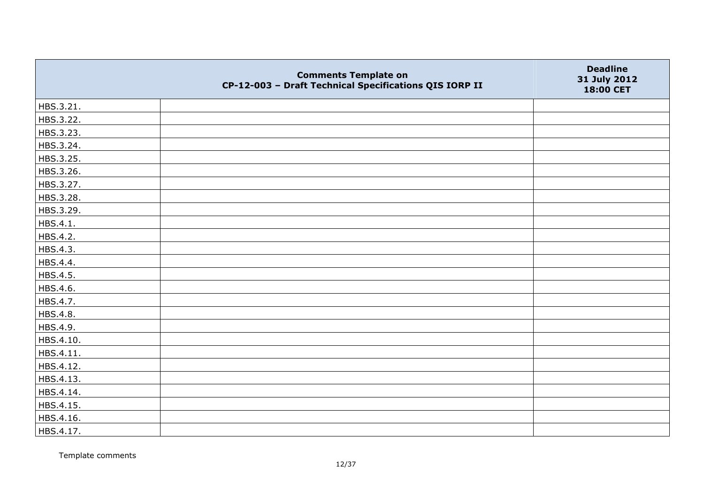|           | <b>Comments Template on</b><br>CP-12-003 - Draft Technical Specifications QIS IORP II | <b>Deadline</b><br>31 July 2012<br>18:00 CET |
|-----------|---------------------------------------------------------------------------------------|----------------------------------------------|
| HBS.3.21. |                                                                                       |                                              |
| HBS.3.22. |                                                                                       |                                              |
| HBS.3.23. |                                                                                       |                                              |
| HBS.3.24. |                                                                                       |                                              |
| HBS.3.25. |                                                                                       |                                              |
| HBS.3.26. |                                                                                       |                                              |
| HBS.3.27. |                                                                                       |                                              |
| HBS.3.28. |                                                                                       |                                              |
| HBS.3.29. |                                                                                       |                                              |
| HBS.4.1.  |                                                                                       |                                              |
| HBS.4.2.  |                                                                                       |                                              |
| HBS.4.3.  |                                                                                       |                                              |
| HBS.4.4.  |                                                                                       |                                              |
| HBS.4.5.  |                                                                                       |                                              |
| HBS.4.6.  |                                                                                       |                                              |
| HBS.4.7.  |                                                                                       |                                              |
| HBS.4.8.  |                                                                                       |                                              |
| HBS.4.9.  |                                                                                       |                                              |
| HBS.4.10. |                                                                                       |                                              |
| HBS.4.11. |                                                                                       |                                              |
| HBS.4.12. |                                                                                       |                                              |
| HBS.4.13. |                                                                                       |                                              |
| HBS.4.14. |                                                                                       |                                              |
| HBS.4.15. |                                                                                       |                                              |
| HBS.4.16. |                                                                                       |                                              |
| HBS.4.17. |                                                                                       |                                              |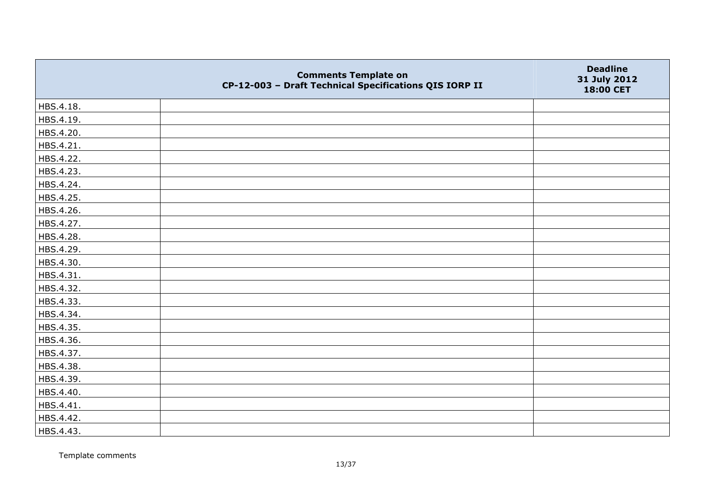|           | <b>Comments Template on</b><br>CP-12-003 - Draft Technical Specifications QIS IORP II | <b>Deadline</b><br>31 July 2012<br>18:00 CET |
|-----------|---------------------------------------------------------------------------------------|----------------------------------------------|
| HBS.4.18. |                                                                                       |                                              |
| HBS.4.19. |                                                                                       |                                              |
| HBS.4.20. |                                                                                       |                                              |
| HBS.4.21. |                                                                                       |                                              |
| HBS.4.22. |                                                                                       |                                              |
| HBS.4.23. |                                                                                       |                                              |
| HBS.4.24. |                                                                                       |                                              |
| HBS.4.25. |                                                                                       |                                              |
| HBS.4.26. |                                                                                       |                                              |
| HBS.4.27. |                                                                                       |                                              |
| HBS.4.28. |                                                                                       |                                              |
| HBS.4.29. |                                                                                       |                                              |
| HBS.4.30. |                                                                                       |                                              |
| HBS.4.31. |                                                                                       |                                              |
| HBS.4.32. |                                                                                       |                                              |
| HBS.4.33. |                                                                                       |                                              |
| HBS.4.34. |                                                                                       |                                              |
| HBS.4.35. |                                                                                       |                                              |
| HBS.4.36. |                                                                                       |                                              |
| HBS.4.37. |                                                                                       |                                              |
| HBS.4.38. |                                                                                       |                                              |
| HBS.4.39. |                                                                                       |                                              |
| HBS.4.40. |                                                                                       |                                              |
| HBS.4.41. |                                                                                       |                                              |
| HBS.4.42. |                                                                                       |                                              |
| HBS.4.43. |                                                                                       |                                              |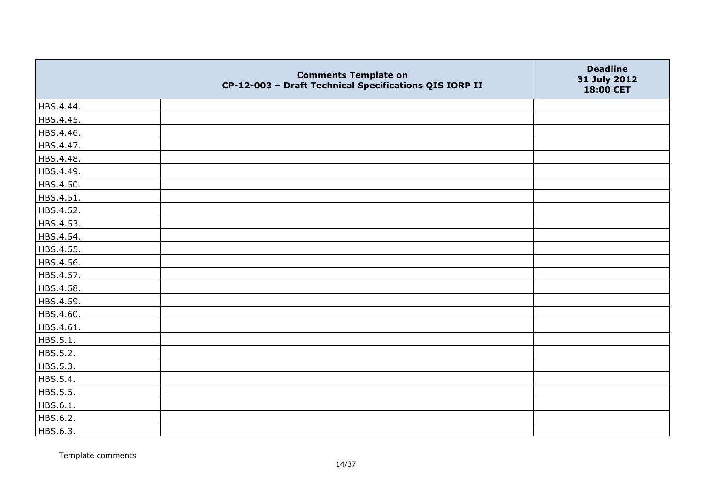|           | <b>Comments Template on</b><br>CP-12-003 - Draft Technical Specifications QIS IORP II | <b>Deadline</b><br>31 July 2012<br>18:00 CET |
|-----------|---------------------------------------------------------------------------------------|----------------------------------------------|
| HBS.4.44. |                                                                                       |                                              |
| HBS.4.45. |                                                                                       |                                              |
| HBS.4.46. |                                                                                       |                                              |
| HBS.4.47. |                                                                                       |                                              |
| HBS.4.48. |                                                                                       |                                              |
| HBS.4.49. |                                                                                       |                                              |
| HBS.4.50. |                                                                                       |                                              |
| HBS.4.51. |                                                                                       |                                              |
| HBS.4.52. |                                                                                       |                                              |
| HBS.4.53. |                                                                                       |                                              |
| HBS.4.54. |                                                                                       |                                              |
| HBS.4.55. |                                                                                       |                                              |
| HBS.4.56. |                                                                                       |                                              |
| HBS.4.57. |                                                                                       |                                              |
| HBS.4.58. |                                                                                       |                                              |
| HBS.4.59. |                                                                                       |                                              |
| HBS.4.60. |                                                                                       |                                              |
| HBS.4.61. |                                                                                       |                                              |
| HBS.5.1.  |                                                                                       |                                              |
| HBS.5.2.  |                                                                                       |                                              |
| HBS.5.3.  |                                                                                       |                                              |
| HBS.5.4.  |                                                                                       |                                              |
| HBS.5.5.  |                                                                                       |                                              |
| HBS.6.1.  |                                                                                       |                                              |
| HBS.6.2.  |                                                                                       |                                              |
| HBS.6.3.  |                                                                                       |                                              |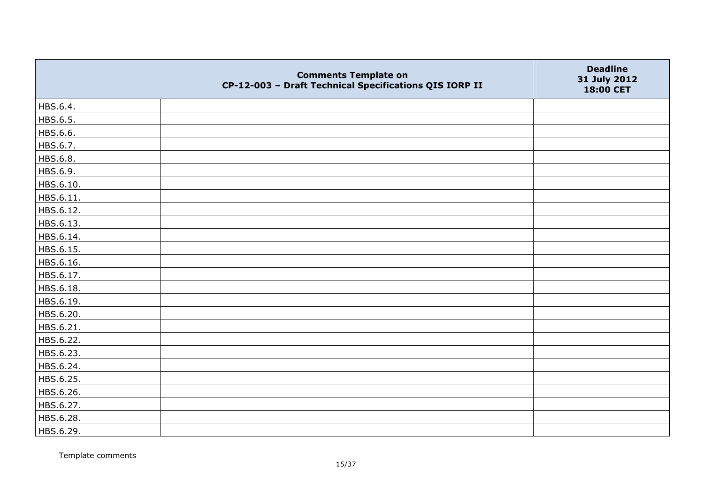|           | <b>Comments Template on</b><br>CP-12-003 - Draft Technical Specifications QIS IORP II | <b>Deadline</b><br>31 July 2012<br>18:00 CET |
|-----------|---------------------------------------------------------------------------------------|----------------------------------------------|
| HBS.6.4.  |                                                                                       |                                              |
| HBS.6.5.  |                                                                                       |                                              |
| HBS.6.6.  |                                                                                       |                                              |
| HBS.6.7.  |                                                                                       |                                              |
| HBS.6.8.  |                                                                                       |                                              |
| HBS.6.9.  |                                                                                       |                                              |
| HBS.6.10. |                                                                                       |                                              |
| HBS.6.11. |                                                                                       |                                              |
| HBS.6.12. |                                                                                       |                                              |
| HBS.6.13. |                                                                                       |                                              |
| HBS.6.14. |                                                                                       |                                              |
| HBS.6.15. |                                                                                       |                                              |
| HBS.6.16. |                                                                                       |                                              |
| HBS.6.17. |                                                                                       |                                              |
| HBS.6.18. |                                                                                       |                                              |
| HBS.6.19. |                                                                                       |                                              |
| HBS.6.20. |                                                                                       |                                              |
| HBS.6.21. |                                                                                       |                                              |
| HBS.6.22. |                                                                                       |                                              |
| HBS.6.23. |                                                                                       |                                              |
| HBS.6.24. |                                                                                       |                                              |
| HBS.6.25. |                                                                                       |                                              |
| HBS.6.26. |                                                                                       |                                              |
| HBS.6.27. |                                                                                       |                                              |
| HBS.6.28. |                                                                                       |                                              |
| HBS.6.29. |                                                                                       |                                              |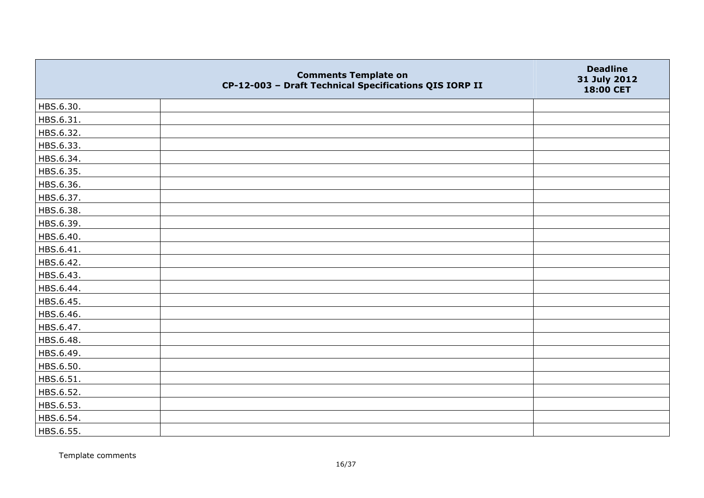|           | <b>Comments Template on</b><br>CP-12-003 - Draft Technical Specifications QIS IORP II | <b>Deadline</b><br>31 July 2012<br>18:00 CET |
|-----------|---------------------------------------------------------------------------------------|----------------------------------------------|
| HBS.6.30. |                                                                                       |                                              |
| HBS.6.31. |                                                                                       |                                              |
| HBS.6.32. |                                                                                       |                                              |
| HBS.6.33. |                                                                                       |                                              |
| HBS.6.34. |                                                                                       |                                              |
| HBS.6.35. |                                                                                       |                                              |
| HBS.6.36. |                                                                                       |                                              |
| HBS.6.37. |                                                                                       |                                              |
| HBS.6.38. |                                                                                       |                                              |
| HBS.6.39. |                                                                                       |                                              |
| HBS.6.40. |                                                                                       |                                              |
| HBS.6.41. |                                                                                       |                                              |
| HBS.6.42. |                                                                                       |                                              |
| HBS.6.43. |                                                                                       |                                              |
| HBS.6.44. |                                                                                       |                                              |
| HBS.6.45. |                                                                                       |                                              |
| HBS.6.46. |                                                                                       |                                              |
| HBS.6.47. |                                                                                       |                                              |
| HBS.6.48. |                                                                                       |                                              |
| HBS.6.49. |                                                                                       |                                              |
| HBS.6.50. |                                                                                       |                                              |
| HBS.6.51. |                                                                                       |                                              |
| HBS.6.52. |                                                                                       |                                              |
| HBS.6.53. |                                                                                       |                                              |
| HBS.6.54. |                                                                                       |                                              |
| HBS.6.55. |                                                                                       |                                              |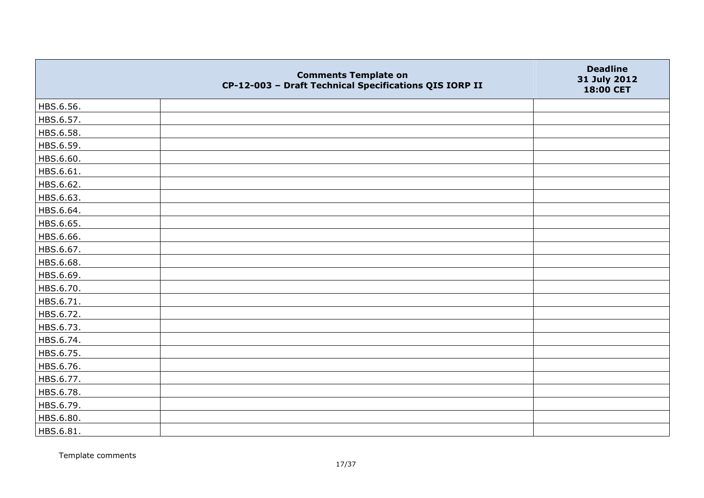|           | <b>Comments Template on</b><br>CP-12-003 - Draft Technical Specifications QIS IORP II | <b>Deadline</b><br>31 July 2012<br>18:00 CET |
|-----------|---------------------------------------------------------------------------------------|----------------------------------------------|
| HBS.6.56. |                                                                                       |                                              |
| HBS.6.57. |                                                                                       |                                              |
| HBS.6.58. |                                                                                       |                                              |
| HBS.6.59. |                                                                                       |                                              |
| HBS.6.60. |                                                                                       |                                              |
| HBS.6.61. |                                                                                       |                                              |
| HBS.6.62. |                                                                                       |                                              |
| HBS.6.63. |                                                                                       |                                              |
| HBS.6.64. |                                                                                       |                                              |
| HBS.6.65. |                                                                                       |                                              |
| HBS.6.66. |                                                                                       |                                              |
| HBS.6.67. |                                                                                       |                                              |
| HBS.6.68. |                                                                                       |                                              |
| HBS.6.69. |                                                                                       |                                              |
| HBS.6.70. |                                                                                       |                                              |
| HBS.6.71. |                                                                                       |                                              |
| HBS.6.72. |                                                                                       |                                              |
| HBS.6.73. |                                                                                       |                                              |
| HBS.6.74. |                                                                                       |                                              |
| HBS.6.75. |                                                                                       |                                              |
| HBS.6.76. |                                                                                       |                                              |
| HBS.6.77. |                                                                                       |                                              |
| HBS.6.78. |                                                                                       |                                              |
| HBS.6.79. |                                                                                       |                                              |
| HBS.6.80. |                                                                                       |                                              |
| HBS.6.81. |                                                                                       |                                              |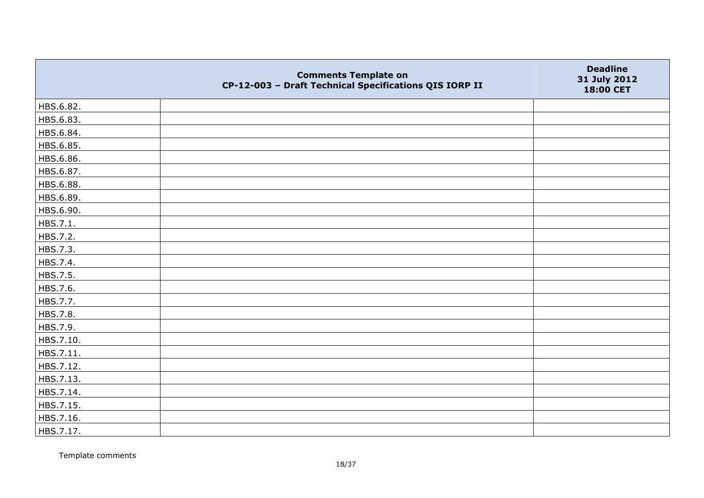|           | <b>Comments Template on</b><br>CP-12-003 - Draft Technical Specifications QIS IORP II | <b>Deadline</b><br>31 July 2012<br>18:00 CET |
|-----------|---------------------------------------------------------------------------------------|----------------------------------------------|
| HBS.6.82. |                                                                                       |                                              |
| HBS.6.83. |                                                                                       |                                              |
| HBS.6.84. |                                                                                       |                                              |
| HBS.6.85. |                                                                                       |                                              |
| HBS.6.86. |                                                                                       |                                              |
| HBS.6.87. |                                                                                       |                                              |
| HBS.6.88. |                                                                                       |                                              |
| HBS.6.89. |                                                                                       |                                              |
| HBS.6.90. |                                                                                       |                                              |
| HBS.7.1.  |                                                                                       |                                              |
| HBS.7.2.  |                                                                                       |                                              |
| HBS.7.3.  |                                                                                       |                                              |
| HBS.7.4.  |                                                                                       |                                              |
| HBS.7.5.  |                                                                                       |                                              |
| HBS.7.6.  |                                                                                       |                                              |
| HBS.7.7.  |                                                                                       |                                              |
| HBS.7.8.  |                                                                                       |                                              |
| HBS.7.9.  |                                                                                       |                                              |
| HBS.7.10. |                                                                                       |                                              |
| HBS.7.11. |                                                                                       |                                              |
| HBS.7.12. |                                                                                       |                                              |
| HBS.7.13. |                                                                                       |                                              |
| HBS.7.14. |                                                                                       |                                              |
| HBS.7.15. |                                                                                       |                                              |
| HBS.7.16. |                                                                                       |                                              |
| HBS.7.17. |                                                                                       |                                              |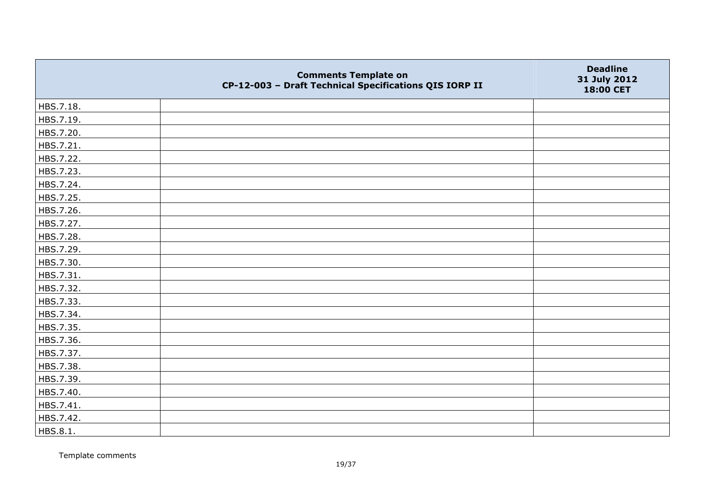|           | <b>Comments Template on</b><br>CP-12-003 - Draft Technical Specifications QIS IORP II | <b>Deadline</b><br>31 July 2012<br>18:00 CET |
|-----------|---------------------------------------------------------------------------------------|----------------------------------------------|
| HBS.7.18. |                                                                                       |                                              |
| HBS.7.19. |                                                                                       |                                              |
| HBS.7.20. |                                                                                       |                                              |
| HBS.7.21. |                                                                                       |                                              |
| HBS.7.22. |                                                                                       |                                              |
| HBS.7.23. |                                                                                       |                                              |
| HBS.7.24. |                                                                                       |                                              |
| HBS.7.25. |                                                                                       |                                              |
| HBS.7.26. |                                                                                       |                                              |
| HBS.7.27. |                                                                                       |                                              |
| HBS.7.28. |                                                                                       |                                              |
| HBS.7.29. |                                                                                       |                                              |
| HBS.7.30. |                                                                                       |                                              |
| HBS.7.31. |                                                                                       |                                              |
| HBS.7.32. |                                                                                       |                                              |
| HBS.7.33. |                                                                                       |                                              |
| HBS.7.34. |                                                                                       |                                              |
| HBS.7.35. |                                                                                       |                                              |
| HBS.7.36. |                                                                                       |                                              |
| HBS.7.37. |                                                                                       |                                              |
| HBS.7.38. |                                                                                       |                                              |
| HBS.7.39. |                                                                                       |                                              |
| HBS.7.40. |                                                                                       |                                              |
| HBS.7.41. |                                                                                       |                                              |
| HBS.7.42. |                                                                                       |                                              |
| HBS.8.1.  |                                                                                       |                                              |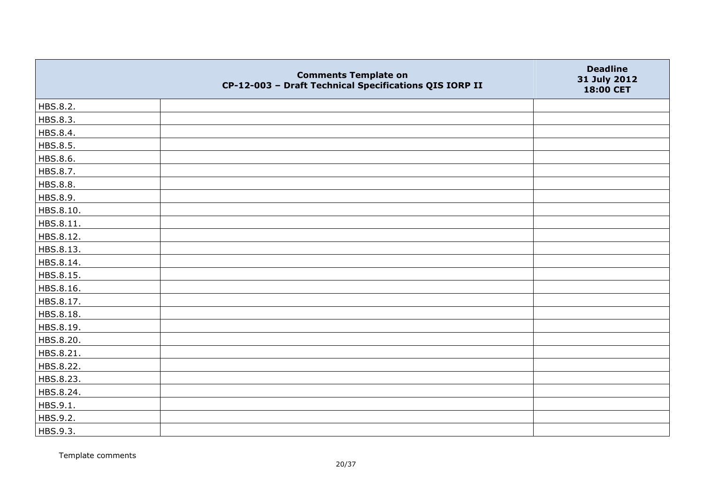|           | <b>Comments Template on</b><br>CP-12-003 - Draft Technical Specifications QIS IORP II | <b>Deadline</b><br>31 July 2012<br>18:00 CET |
|-----------|---------------------------------------------------------------------------------------|----------------------------------------------|
| HBS.8.2.  |                                                                                       |                                              |
| HBS.8.3.  |                                                                                       |                                              |
| HBS.8.4.  |                                                                                       |                                              |
| HBS.8.5.  |                                                                                       |                                              |
| HBS.8.6.  |                                                                                       |                                              |
| HBS.8.7.  |                                                                                       |                                              |
| HBS.8.8.  |                                                                                       |                                              |
| HBS.8.9.  |                                                                                       |                                              |
| HBS.8.10. |                                                                                       |                                              |
| HBS.8.11. |                                                                                       |                                              |
| HBS.8.12. |                                                                                       |                                              |
| HBS.8.13. |                                                                                       |                                              |
| HBS.8.14. |                                                                                       |                                              |
| HBS.8.15. |                                                                                       |                                              |
| HBS.8.16. |                                                                                       |                                              |
| HBS.8.17. |                                                                                       |                                              |
| HBS.8.18. |                                                                                       |                                              |
| HBS.8.19. |                                                                                       |                                              |
| HBS.8.20. |                                                                                       |                                              |
| HBS.8.21. |                                                                                       |                                              |
| HBS.8.22. |                                                                                       |                                              |
| HBS.8.23. |                                                                                       |                                              |
| HBS.8.24. |                                                                                       |                                              |
| HBS.9.1.  |                                                                                       |                                              |
| HBS.9.2.  |                                                                                       |                                              |
| HBS.9.3.  |                                                                                       |                                              |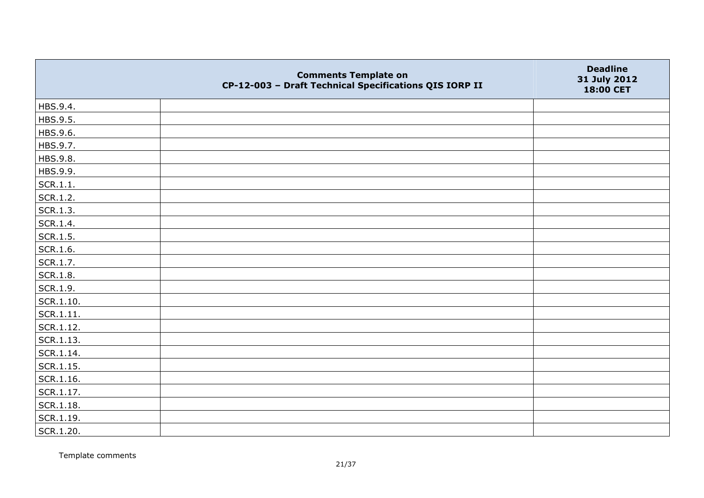|               | <b>Comments Template on</b><br>CP-12-003 - Draft Technical Specifications QIS IORP II | <b>Deadline</b><br>31 July 2012<br>18:00 CET |
|---------------|---------------------------------------------------------------------------------------|----------------------------------------------|
| HBS.9.4.      |                                                                                       |                                              |
| HBS.9.5.      |                                                                                       |                                              |
| HBS.9.6.      |                                                                                       |                                              |
| HBS.9.7.      |                                                                                       |                                              |
| HBS.9.8.      |                                                                                       |                                              |
| HBS.9.9.      |                                                                                       |                                              |
| SCR.1.1.      |                                                                                       |                                              |
| SCR.1.2.      |                                                                                       |                                              |
| SCR.1.3.      |                                                                                       |                                              |
| SCR.1.4.      |                                                                                       |                                              |
| SCR.1.5.      |                                                                                       |                                              |
| SCR.1.6.      |                                                                                       |                                              |
| SCR.1.7.      |                                                                                       |                                              |
| SCR.1.8.      |                                                                                       |                                              |
| SCR.1.9.      |                                                                                       |                                              |
| SCR.1.10.     |                                                                                       |                                              |
| SCR.1.11.     |                                                                                       |                                              |
| SCR.1.12.     |                                                                                       |                                              |
| SCR.1.13.     |                                                                                       |                                              |
| SCR.1.14.     |                                                                                       |                                              |
| $ $ SCR.1.15. |                                                                                       |                                              |
| SCR.1.16.     |                                                                                       |                                              |
| SCR.1.17.     |                                                                                       |                                              |
| SCR.1.18.     |                                                                                       |                                              |
| SCR.1.19.     |                                                                                       |                                              |
| SCR.1.20.     |                                                                                       |                                              |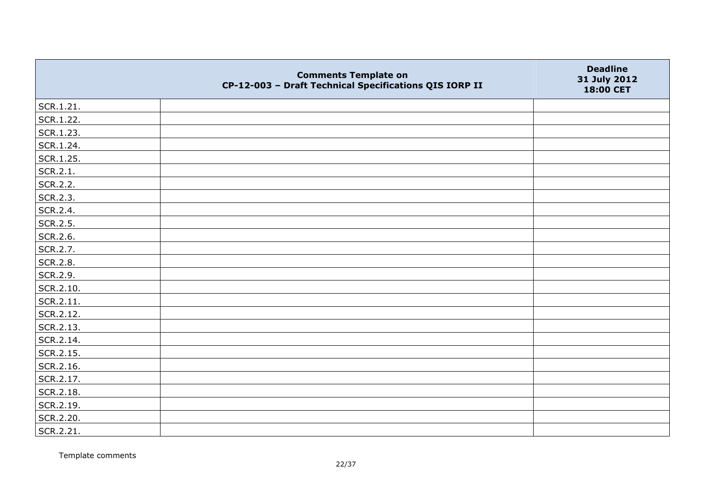|           | <b>Comments Template on</b><br>CP-12-003 - Draft Technical Specifications QIS IORP II | <b>Deadline</b><br>31 July 2012<br>18:00 CET |
|-----------|---------------------------------------------------------------------------------------|----------------------------------------------|
| SCR.1.21. |                                                                                       |                                              |
| SCR.1.22. |                                                                                       |                                              |
| SCR.1.23. |                                                                                       |                                              |
| SCR.1.24. |                                                                                       |                                              |
| SCR.1.25. |                                                                                       |                                              |
| SCR.2.1.  |                                                                                       |                                              |
| SCR.2.2.  |                                                                                       |                                              |
| SCR.2.3.  |                                                                                       |                                              |
| SCR.2.4.  |                                                                                       |                                              |
| SCR.2.5.  |                                                                                       |                                              |
| SCR.2.6.  |                                                                                       |                                              |
| SCR.2.7.  |                                                                                       |                                              |
| SCR.2.8.  |                                                                                       |                                              |
| SCR.2.9.  |                                                                                       |                                              |
| SCR.2.10. |                                                                                       |                                              |
| SCR.2.11. |                                                                                       |                                              |
| SCR.2.12. |                                                                                       |                                              |
| SCR.2.13. |                                                                                       |                                              |
| SCR.2.14. |                                                                                       |                                              |
| SCR.2.15. |                                                                                       |                                              |
| SCR.2.16. |                                                                                       |                                              |
| SCR.2.17. |                                                                                       |                                              |
| SCR.2.18. |                                                                                       |                                              |
| SCR.2.19. |                                                                                       |                                              |
| SCR.2.20. |                                                                                       |                                              |
| SCR.2.21. |                                                                                       |                                              |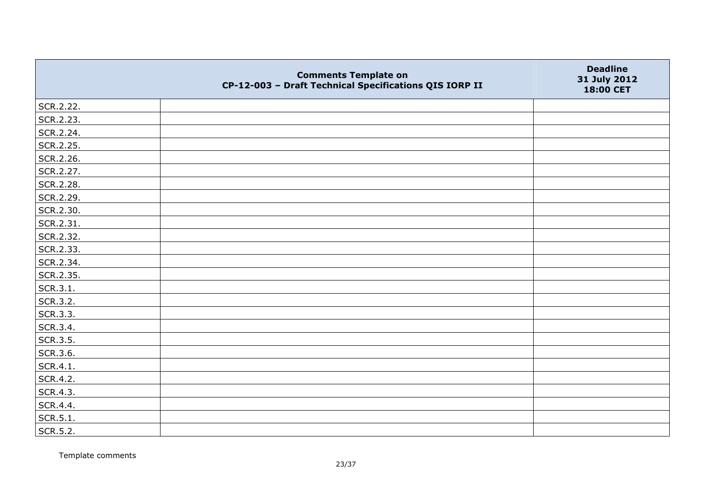|           | <b>Comments Template on</b><br>CP-12-003 - Draft Technical Specifications QIS IORP II | <b>Deadline</b><br>31 July 2012<br>18:00 CET |
|-----------|---------------------------------------------------------------------------------------|----------------------------------------------|
| SCR.2.22. |                                                                                       |                                              |
| SCR.2.23. |                                                                                       |                                              |
| SCR.2.24. |                                                                                       |                                              |
| SCR.2.25. |                                                                                       |                                              |
| SCR.2.26. |                                                                                       |                                              |
| SCR.2.27. |                                                                                       |                                              |
| SCR.2.28. |                                                                                       |                                              |
| SCR.2.29. |                                                                                       |                                              |
| SCR.2.30. |                                                                                       |                                              |
| SCR.2.31. |                                                                                       |                                              |
| SCR.2.32. |                                                                                       |                                              |
| SCR.2.33. |                                                                                       |                                              |
| SCR.2.34. |                                                                                       |                                              |
| SCR.2.35. |                                                                                       |                                              |
| SCR.3.1.  |                                                                                       |                                              |
| SCR.3.2.  |                                                                                       |                                              |
| SCR.3.3.  |                                                                                       |                                              |
| SCR.3.4.  |                                                                                       |                                              |
| SCR.3.5.  |                                                                                       |                                              |
| SCR.3.6.  |                                                                                       |                                              |
| SCR.4.1.  |                                                                                       |                                              |
| SCR.4.2.  |                                                                                       |                                              |
| SCR.4.3.  |                                                                                       |                                              |
| SCR.4.4.  |                                                                                       |                                              |
| SCR.5.1.  |                                                                                       |                                              |
| SCR.5.2.  |                                                                                       |                                              |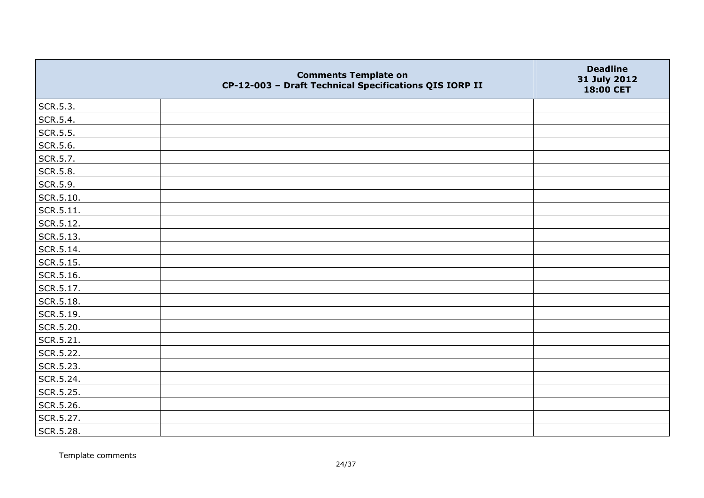|                 | <b>Comments Template on</b><br>CP-12-003 - Draft Technical Specifications QIS IORP II | <b>Deadline</b><br>31 July 2012<br>18:00 CET |
|-----------------|---------------------------------------------------------------------------------------|----------------------------------------------|
| SCR.5.3.        |                                                                                       |                                              |
| SCR.5.4.        |                                                                                       |                                              |
| SCR.5.5.        |                                                                                       |                                              |
| SCR.5.6.        |                                                                                       |                                              |
| SCR.5.7.        |                                                                                       |                                              |
| <b>SCR.5.8.</b> |                                                                                       |                                              |
| SCR.5.9.        |                                                                                       |                                              |
| SCR.5.10.       |                                                                                       |                                              |
| SCR.5.11.       |                                                                                       |                                              |
| SCR.5.12.       |                                                                                       |                                              |
| SCR.5.13.       |                                                                                       |                                              |
| SCR.5.14.       |                                                                                       |                                              |
| SCR.5.15.       |                                                                                       |                                              |
| SCR.5.16.       |                                                                                       |                                              |
| SCR.5.17.       |                                                                                       |                                              |
| SCR.5.18.       |                                                                                       |                                              |
| SCR.5.19.       |                                                                                       |                                              |
| SCR.5.20.       |                                                                                       |                                              |
| SCR.5.21.       |                                                                                       |                                              |
| SCR.5.22.       |                                                                                       |                                              |
| SCR.5.23.       |                                                                                       |                                              |
| SCR.5.24.       |                                                                                       |                                              |
| SCR.5.25.       |                                                                                       |                                              |
| SCR.5.26.       |                                                                                       |                                              |
| SCR.5.27.       |                                                                                       |                                              |
| SCR.5.28.       |                                                                                       |                                              |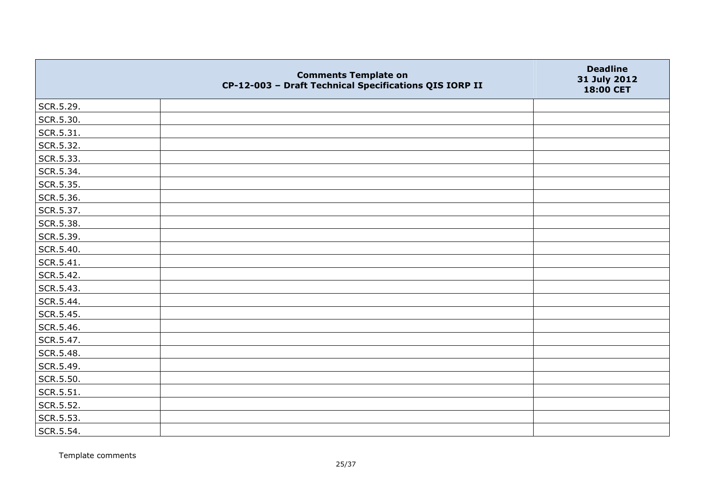|           | <b>Comments Template on</b><br>CP-12-003 - Draft Technical Specifications QIS IORP II | <b>Deadline</b><br>31 July 2012<br>18:00 CET |
|-----------|---------------------------------------------------------------------------------------|----------------------------------------------|
| SCR.5.29. |                                                                                       |                                              |
| SCR.5.30. |                                                                                       |                                              |
| SCR.5.31. |                                                                                       |                                              |
| SCR.5.32. |                                                                                       |                                              |
| SCR.5.33. |                                                                                       |                                              |
| SCR.5.34. |                                                                                       |                                              |
| SCR.5.35. |                                                                                       |                                              |
| SCR.5.36. |                                                                                       |                                              |
| SCR.5.37. |                                                                                       |                                              |
| SCR.5.38. |                                                                                       |                                              |
| SCR.5.39. |                                                                                       |                                              |
| SCR.5.40. |                                                                                       |                                              |
| SCR.5.41. |                                                                                       |                                              |
| SCR.5.42. |                                                                                       |                                              |
| SCR.5.43. |                                                                                       |                                              |
| SCR.5.44. |                                                                                       |                                              |
| SCR.5.45. |                                                                                       |                                              |
| SCR.5.46. |                                                                                       |                                              |
| SCR.5.47. |                                                                                       |                                              |
| SCR.5.48. |                                                                                       |                                              |
| SCR.5.49. |                                                                                       |                                              |
| SCR.5.50. |                                                                                       |                                              |
| SCR.5.51. |                                                                                       |                                              |
| SCR.5.52. |                                                                                       |                                              |
| SCR.5.53. |                                                                                       |                                              |
| SCR.5.54. |                                                                                       |                                              |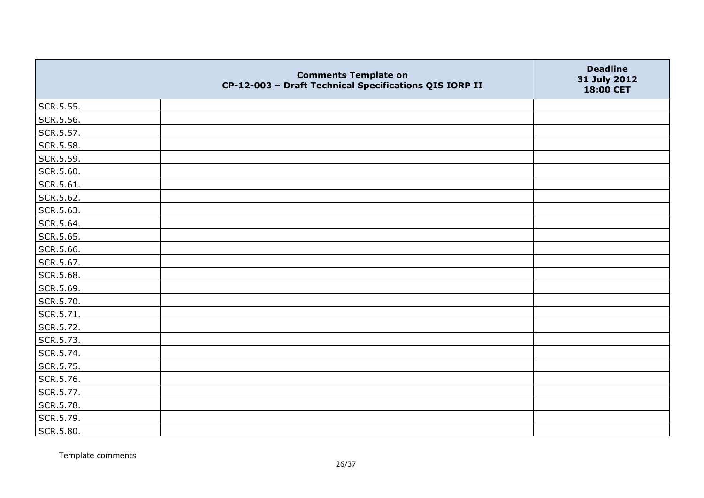|           | <b>Comments Template on</b><br>CP-12-003 - Draft Technical Specifications QIS IORP II | <b>Deadline</b><br>31 July 2012<br>18:00 CET |
|-----------|---------------------------------------------------------------------------------------|----------------------------------------------|
| SCR.5.55. |                                                                                       |                                              |
| SCR.5.56. |                                                                                       |                                              |
| SCR.5.57. |                                                                                       |                                              |
| SCR.5.58. |                                                                                       |                                              |
| SCR.5.59. |                                                                                       |                                              |
| SCR.5.60. |                                                                                       |                                              |
| SCR.5.61. |                                                                                       |                                              |
| SCR.5.62. |                                                                                       |                                              |
| SCR.5.63. |                                                                                       |                                              |
| SCR.5.64. |                                                                                       |                                              |
| SCR.5.65. |                                                                                       |                                              |
| SCR.5.66. |                                                                                       |                                              |
| SCR.5.67. |                                                                                       |                                              |
| SCR.5.68. |                                                                                       |                                              |
| SCR.5.69. |                                                                                       |                                              |
| SCR.5.70. |                                                                                       |                                              |
| SCR.5.71. |                                                                                       |                                              |
| SCR.5.72. |                                                                                       |                                              |
| SCR.5.73. |                                                                                       |                                              |
| SCR.5.74. |                                                                                       |                                              |
| SCR.5.75. |                                                                                       |                                              |
| SCR.5.76. |                                                                                       |                                              |
| SCR.5.77. |                                                                                       |                                              |
| SCR.5.78. |                                                                                       |                                              |
| SCR.5.79. |                                                                                       |                                              |
| SCR.5.80. |                                                                                       |                                              |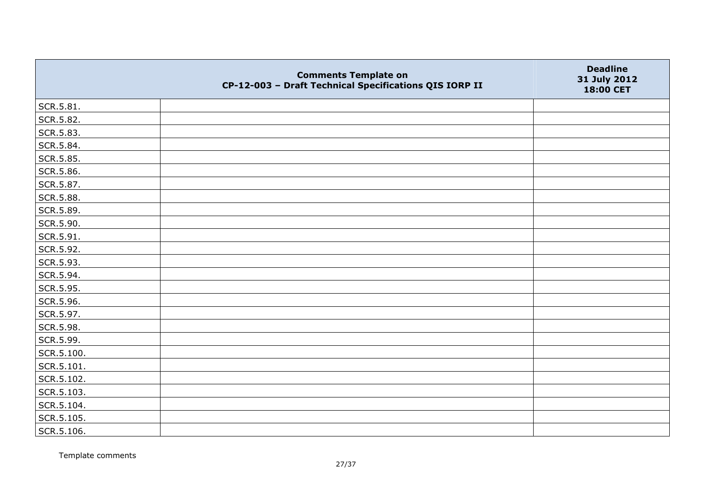|            | <b>Comments Template on</b><br>CP-12-003 - Draft Technical Specifications QIS IORP II | <b>Deadline</b><br>31 July 2012<br>18:00 CET |
|------------|---------------------------------------------------------------------------------------|----------------------------------------------|
| SCR.5.81.  |                                                                                       |                                              |
| SCR.5.82.  |                                                                                       |                                              |
| SCR.5.83.  |                                                                                       |                                              |
| SCR.5.84.  |                                                                                       |                                              |
| SCR.5.85.  |                                                                                       |                                              |
| SCR.5.86.  |                                                                                       |                                              |
| SCR.5.87.  |                                                                                       |                                              |
| SCR.5.88.  |                                                                                       |                                              |
| SCR.5.89.  |                                                                                       |                                              |
| SCR.5.90.  |                                                                                       |                                              |
| SCR.5.91.  |                                                                                       |                                              |
| SCR.5.92.  |                                                                                       |                                              |
| SCR.5.93.  |                                                                                       |                                              |
| SCR.5.94.  |                                                                                       |                                              |
| SCR.5.95.  |                                                                                       |                                              |
| SCR.5.96.  |                                                                                       |                                              |
| SCR.5.97.  |                                                                                       |                                              |
| SCR.5.98.  |                                                                                       |                                              |
| SCR.5.99.  |                                                                                       |                                              |
| SCR.5.100. |                                                                                       |                                              |
| SCR.5.101. |                                                                                       |                                              |
| SCR.5.102. |                                                                                       |                                              |
| SCR.5.103. |                                                                                       |                                              |
| SCR.5.104. |                                                                                       |                                              |
| SCR.5.105. |                                                                                       |                                              |
| SCR.5.106. |                                                                                       |                                              |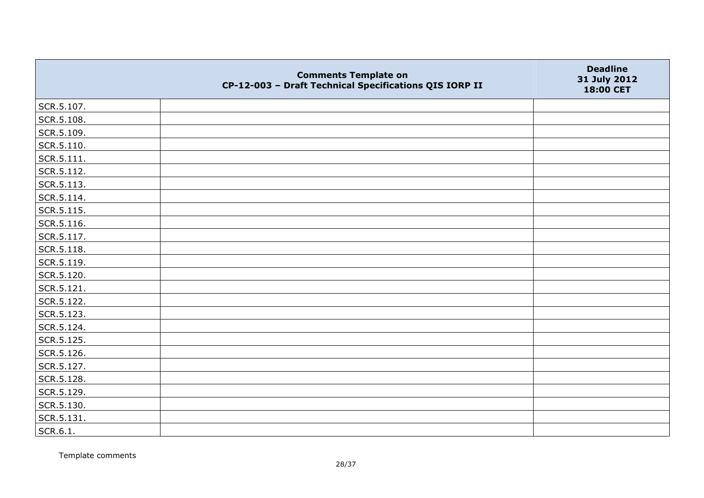|                    | <b>Comments Template on</b><br>CP-12-003 - Draft Technical Specifications QIS IORP II | <b>Deadline</b><br>31 July 2012<br>18:00 CET |
|--------------------|---------------------------------------------------------------------------------------|----------------------------------------------|
| SCR.5.107.         |                                                                                       |                                              |
| SCR.5.108.         |                                                                                       |                                              |
| SCR.5.109.         |                                                                                       |                                              |
| SCR.5.110.         |                                                                                       |                                              |
| $\vert$ SCR.5.111. |                                                                                       |                                              |
| SCR.5.112.         |                                                                                       |                                              |
| SCR.5.113.         |                                                                                       |                                              |
| SCR.5.114.         |                                                                                       |                                              |
| SCR.5.115.         |                                                                                       |                                              |
| SCR.5.116.         |                                                                                       |                                              |
| SCR.5.117.         |                                                                                       |                                              |
| SCR.5.118.         |                                                                                       |                                              |
| SCR.5.119.         |                                                                                       |                                              |
| SCR.5.120.         |                                                                                       |                                              |
| SCR.5.121.         |                                                                                       |                                              |
| SCR.5.122.         |                                                                                       |                                              |
| SCR.5.123.         |                                                                                       |                                              |
| SCR.5.124.         |                                                                                       |                                              |
| SCR.5.125.         |                                                                                       |                                              |
| SCR.5.126.         |                                                                                       |                                              |
| SCR.5.127.         |                                                                                       |                                              |
| SCR.5.128.         |                                                                                       |                                              |
| SCR.5.129.         |                                                                                       |                                              |
| SCR.5.130.         |                                                                                       |                                              |
| SCR.5.131.         |                                                                                       |                                              |
| SCR.6.1.           |                                                                                       |                                              |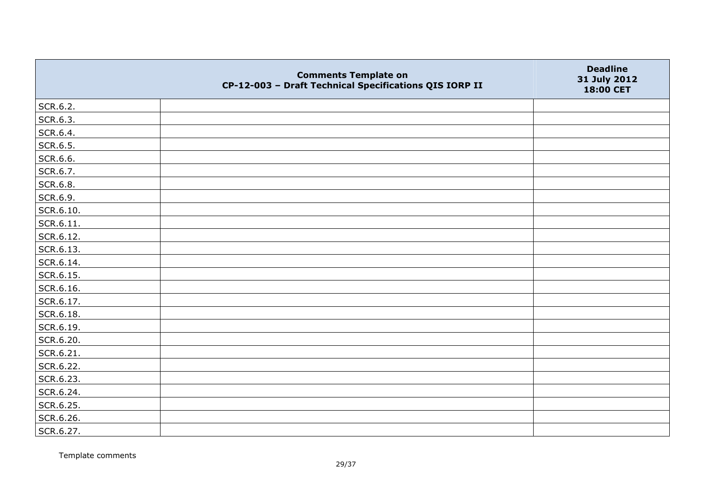|                   | <b>Comments Template on</b><br>CP-12-003 - Draft Technical Specifications QIS IORP II | <b>Deadline</b><br>31 July 2012<br>18:00 CET |
|-------------------|---------------------------------------------------------------------------------------|----------------------------------------------|
| SCR.6.2.          |                                                                                       |                                              |
| SCR.6.3.          |                                                                                       |                                              |
| SCR.6.4.          |                                                                                       |                                              |
| SCR.6.5.          |                                                                                       |                                              |
| SCR.6.6.          |                                                                                       |                                              |
| SCR.6.7.          |                                                                                       |                                              |
| SCR.6.8.          |                                                                                       |                                              |
| SCR.6.9.          |                                                                                       |                                              |
| SCR.6.10.         |                                                                                       |                                              |
| $\vert$ SCR.6.11. |                                                                                       |                                              |
| SCR.6.12.         |                                                                                       |                                              |
| SCR.6.13.         |                                                                                       |                                              |
| SCR.6.14.         |                                                                                       |                                              |
| SCR.6.15.         |                                                                                       |                                              |
| SCR.6.16.         |                                                                                       |                                              |
| SCR.6.17.         |                                                                                       |                                              |
| SCR.6.18.         |                                                                                       |                                              |
| SCR.6.19.         |                                                                                       |                                              |
| SCR.6.20.         |                                                                                       |                                              |
| SCR.6.21.         |                                                                                       |                                              |
| SCR.6.22.         |                                                                                       |                                              |
| SCR.6.23.         |                                                                                       |                                              |
| SCR.6.24.         |                                                                                       |                                              |
| SCR.6.25.         |                                                                                       |                                              |
| SCR.6.26.         |                                                                                       |                                              |
| SCR.6.27.         |                                                                                       |                                              |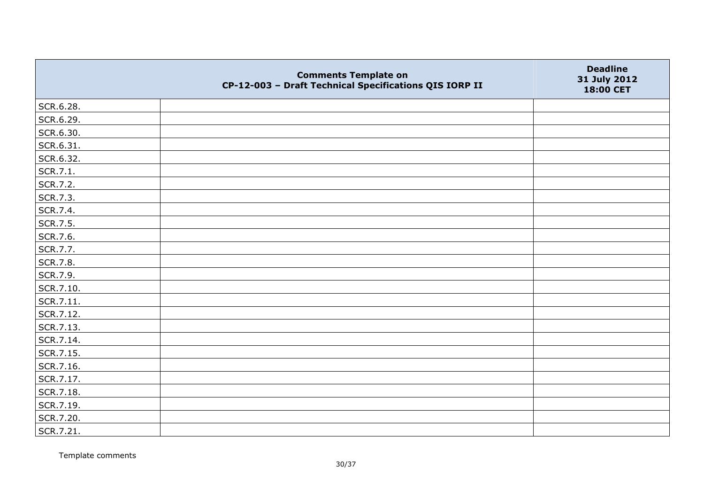|           | <b>Comments Template on</b><br>CP-12-003 - Draft Technical Specifications QIS IORP II | <b>Deadline</b><br>31 July 2012<br>18:00 CET |
|-----------|---------------------------------------------------------------------------------------|----------------------------------------------|
| SCR.6.28. |                                                                                       |                                              |
| SCR.6.29. |                                                                                       |                                              |
| SCR.6.30. |                                                                                       |                                              |
| SCR.6.31. |                                                                                       |                                              |
| SCR.6.32. |                                                                                       |                                              |
| SCR.7.1.  |                                                                                       |                                              |
| SCR.7.2.  |                                                                                       |                                              |
| SCR.7.3.  |                                                                                       |                                              |
| SCR.7.4.  |                                                                                       |                                              |
| SCR.7.5.  |                                                                                       |                                              |
| SCR.7.6.  |                                                                                       |                                              |
| SCR.7.7.  |                                                                                       |                                              |
| SCR.7.8.  |                                                                                       |                                              |
| SCR.7.9.  |                                                                                       |                                              |
| SCR.7.10. |                                                                                       |                                              |
| SCR.7.11. |                                                                                       |                                              |
| SCR.7.12. |                                                                                       |                                              |
| SCR.7.13. |                                                                                       |                                              |
| SCR.7.14. |                                                                                       |                                              |
| SCR.7.15. |                                                                                       |                                              |
| SCR.7.16. |                                                                                       |                                              |
| SCR.7.17. |                                                                                       |                                              |
| SCR.7.18. |                                                                                       |                                              |
| SCR.7.19. |                                                                                       |                                              |
| SCR.7.20. |                                                                                       |                                              |
| SCR.7.21. |                                                                                       |                                              |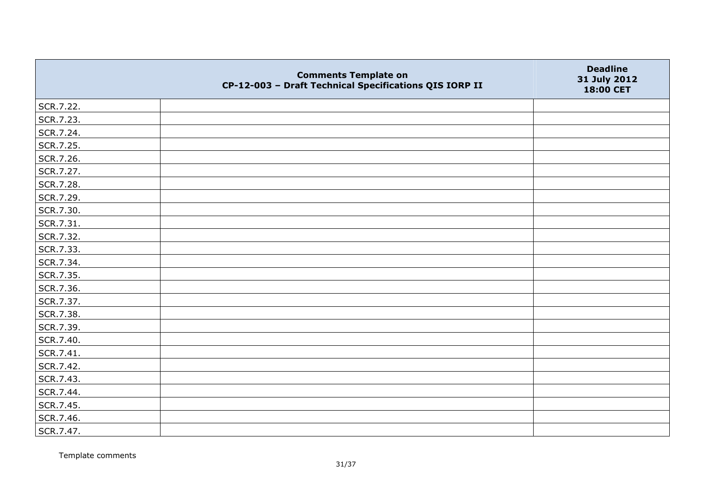|           | <b>Comments Template on</b><br>CP-12-003 - Draft Technical Specifications QIS IORP II | <b>Deadline</b><br>31 July 2012<br>18:00 CET |
|-----------|---------------------------------------------------------------------------------------|----------------------------------------------|
| SCR.7.22. |                                                                                       |                                              |
| SCR.7.23. |                                                                                       |                                              |
| SCR.7.24. |                                                                                       |                                              |
| SCR.7.25. |                                                                                       |                                              |
| SCR.7.26. |                                                                                       |                                              |
| SCR.7.27. |                                                                                       |                                              |
| SCR.7.28. |                                                                                       |                                              |
| SCR.7.29. |                                                                                       |                                              |
| SCR.7.30. |                                                                                       |                                              |
| SCR.7.31. |                                                                                       |                                              |
| SCR.7.32. |                                                                                       |                                              |
| SCR.7.33. |                                                                                       |                                              |
| SCR.7.34. |                                                                                       |                                              |
| SCR.7.35. |                                                                                       |                                              |
| SCR.7.36. |                                                                                       |                                              |
| SCR.7.37. |                                                                                       |                                              |
| SCR.7.38. |                                                                                       |                                              |
| SCR.7.39. |                                                                                       |                                              |
| SCR.7.40. |                                                                                       |                                              |
| SCR.7.41. |                                                                                       |                                              |
| SCR.7.42. |                                                                                       |                                              |
| SCR.7.43. |                                                                                       |                                              |
| SCR.7.44. |                                                                                       |                                              |
| SCR.7.45. |                                                                                       |                                              |
| SCR.7.46. |                                                                                       |                                              |
| SCR.7.47. |                                                                                       |                                              |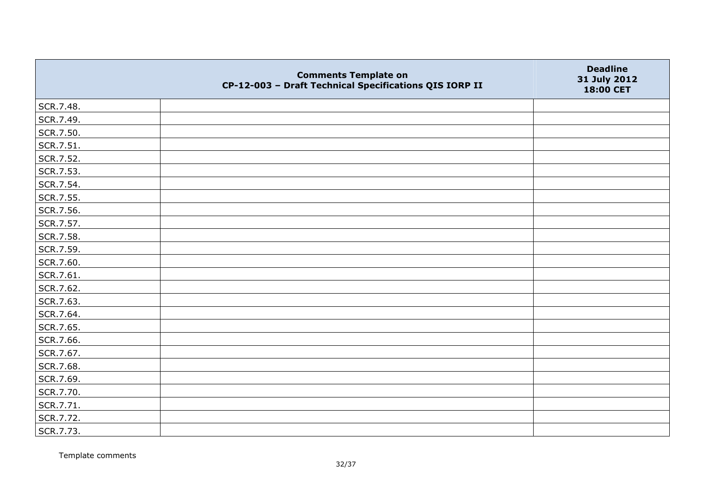|           | <b>Comments Template on</b><br>CP-12-003 - Draft Technical Specifications QIS IORP II | <b>Deadline</b><br>31 July 2012<br>18:00 CET |
|-----------|---------------------------------------------------------------------------------------|----------------------------------------------|
| SCR.7.48. |                                                                                       |                                              |
| SCR.7.49. |                                                                                       |                                              |
| SCR.7.50. |                                                                                       |                                              |
| SCR.7.51. |                                                                                       |                                              |
| SCR.7.52. |                                                                                       |                                              |
| SCR.7.53. |                                                                                       |                                              |
| SCR.7.54. |                                                                                       |                                              |
| SCR.7.55. |                                                                                       |                                              |
| SCR.7.56. |                                                                                       |                                              |
| SCR.7.57. |                                                                                       |                                              |
| SCR.7.58. |                                                                                       |                                              |
| SCR.7.59. |                                                                                       |                                              |
| SCR.7.60. |                                                                                       |                                              |
| SCR.7.61. |                                                                                       |                                              |
| SCR.7.62. |                                                                                       |                                              |
| SCR.7.63. |                                                                                       |                                              |
| SCR.7.64. |                                                                                       |                                              |
| SCR.7.65. |                                                                                       |                                              |
| SCR.7.66. |                                                                                       |                                              |
| SCR.7.67. |                                                                                       |                                              |
| SCR.7.68. |                                                                                       |                                              |
| SCR.7.69. |                                                                                       |                                              |
| SCR.7.70. |                                                                                       |                                              |
| SCR.7.71. |                                                                                       |                                              |
| SCR.7.72. |                                                                                       |                                              |
| SCR.7.73. |                                                                                       |                                              |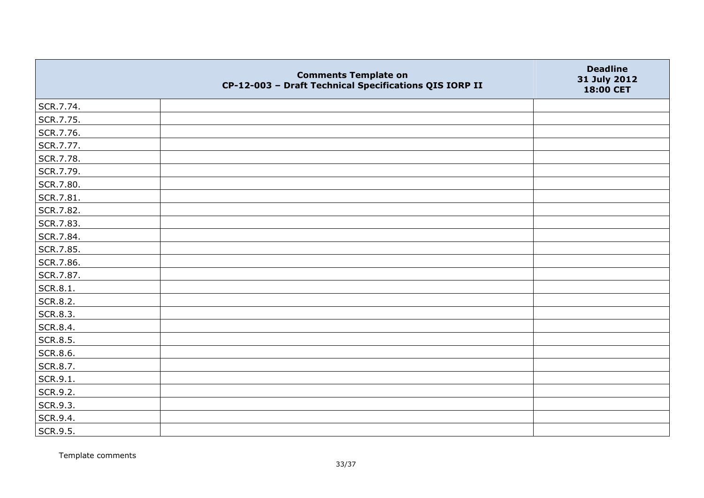|           | <b>Comments Template on</b><br>CP-12-003 - Draft Technical Specifications QIS IORP II | <b>Deadline</b><br>31 July 2012<br>18:00 CET |
|-----------|---------------------------------------------------------------------------------------|----------------------------------------------|
| SCR.7.74. |                                                                                       |                                              |
| SCR.7.75. |                                                                                       |                                              |
| SCR.7.76. |                                                                                       |                                              |
| SCR.7.77. |                                                                                       |                                              |
| SCR.7.78. |                                                                                       |                                              |
| SCR.7.79. |                                                                                       |                                              |
| SCR.7.80. |                                                                                       |                                              |
| SCR.7.81. |                                                                                       |                                              |
| SCR.7.82. |                                                                                       |                                              |
| SCR.7.83. |                                                                                       |                                              |
| SCR.7.84. |                                                                                       |                                              |
| SCR.7.85. |                                                                                       |                                              |
| SCR.7.86. |                                                                                       |                                              |
| SCR.7.87. |                                                                                       |                                              |
| SCR.8.1.  |                                                                                       |                                              |
| SCR.8.2.  |                                                                                       |                                              |
| SCR.8.3.  |                                                                                       |                                              |
| SCR.8.4.  |                                                                                       |                                              |
| SCR.8.5.  |                                                                                       |                                              |
| SCR.8.6.  |                                                                                       |                                              |
| SCR.8.7.  |                                                                                       |                                              |
| SCR.9.1.  |                                                                                       |                                              |
| SCR.9.2.  |                                                                                       |                                              |
| SCR.9.3.  |                                                                                       |                                              |
| SCR.9.4.  |                                                                                       |                                              |
| SCR.9.5.  |                                                                                       |                                              |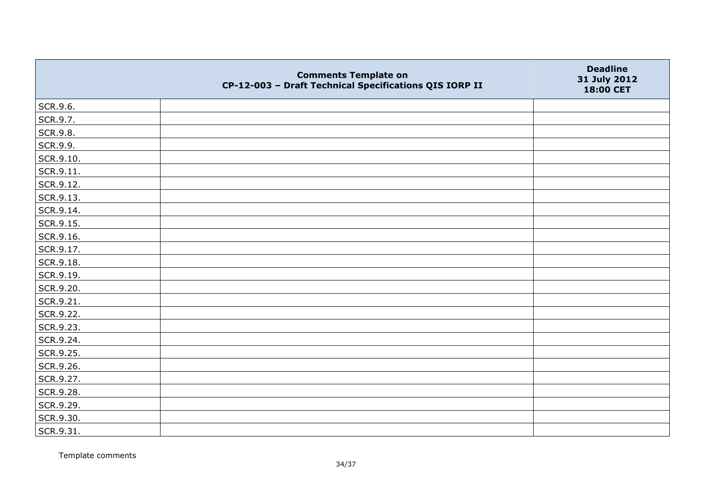|                   | <b>Comments Template on</b><br>CP-12-003 - Draft Technical Specifications QIS IORP II | <b>Deadline</b><br>31 July 2012<br>18:00 CET |
|-------------------|---------------------------------------------------------------------------------------|----------------------------------------------|
| SCR.9.6.          |                                                                                       |                                              |
| SCR.9.7.          |                                                                                       |                                              |
| SCR.9.8.          |                                                                                       |                                              |
| SCR.9.9.          |                                                                                       |                                              |
| SCR.9.10.         |                                                                                       |                                              |
| $\vert$ SCR.9.11. |                                                                                       |                                              |
| SCR.9.12.         |                                                                                       |                                              |
| SCR.9.13.         |                                                                                       |                                              |
| SCR.9.14.         |                                                                                       |                                              |
| SCR.9.15.         |                                                                                       |                                              |
| SCR.9.16.         |                                                                                       |                                              |
| SCR.9.17.         |                                                                                       |                                              |
| SCR.9.18.         |                                                                                       |                                              |
| SCR.9.19.         |                                                                                       |                                              |
| SCR.9.20.         |                                                                                       |                                              |
| SCR.9.21.         |                                                                                       |                                              |
| SCR.9.22.         |                                                                                       |                                              |
| SCR.9.23.         |                                                                                       |                                              |
| SCR.9.24.         |                                                                                       |                                              |
| SCR.9.25.         |                                                                                       |                                              |
| SCR.9.26.         |                                                                                       |                                              |
| SCR.9.27.         |                                                                                       |                                              |
| SCR.9.28.         |                                                                                       |                                              |
| SCR.9.29.         |                                                                                       |                                              |
| SCR.9.30.         |                                                                                       |                                              |
| SCR.9.31.         |                                                                                       |                                              |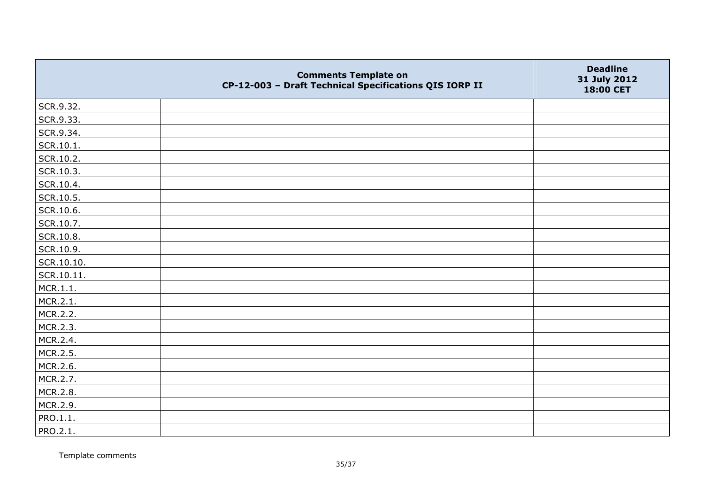|                 | <b>Comments Template on</b><br>CP-12-003 - Draft Technical Specifications QIS IORP II | <b>Deadline</b><br>31 July 2012<br>18:00 CET |
|-----------------|---------------------------------------------------------------------------------------|----------------------------------------------|
| SCR.9.32.       |                                                                                       |                                              |
| SCR.9.33.       |                                                                                       |                                              |
| SCR.9.34.       |                                                                                       |                                              |
| $ $ SCR.10.1.   |                                                                                       |                                              |
| SCR.10.2.       |                                                                                       |                                              |
| SCR.10.3.       |                                                                                       |                                              |
| SCR.10.4.       |                                                                                       |                                              |
| SCR.10.5.       |                                                                                       |                                              |
| SCR.10.6.       |                                                                                       |                                              |
| SCR.10.7.       |                                                                                       |                                              |
| SCR.10.8.       |                                                                                       |                                              |
| SCR.10.9.       |                                                                                       |                                              |
| SCR.10.10.      |                                                                                       |                                              |
| SCR.10.11.      |                                                                                       |                                              |
| MCR.1.1.        |                                                                                       |                                              |
| MCR.2.1.        |                                                                                       |                                              |
| MCR.2.2.        |                                                                                       |                                              |
| MCR.2.3.        |                                                                                       |                                              |
| MCR.2.4.        |                                                                                       |                                              |
| MCR.2.5.        |                                                                                       |                                              |
| MCR.2.6.        |                                                                                       |                                              |
| MCR.2.7.        |                                                                                       |                                              |
| MCR.2.8.        |                                                                                       |                                              |
| MCR.2.9.        |                                                                                       |                                              |
| PRO.1.1.        |                                                                                       |                                              |
| <b>PRO.2.1.</b> |                                                                                       |                                              |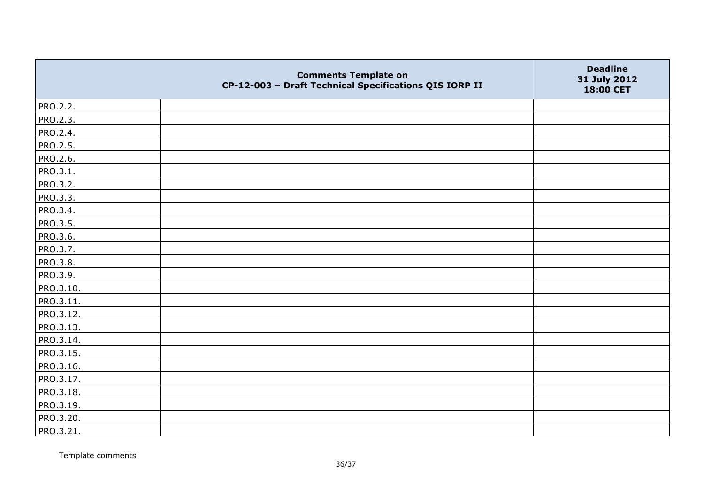|                 | <b>Comments Template on</b><br>CP-12-003 - Draft Technical Specifications QIS IORP II | <b>Deadline</b><br>31 July 2012<br>18:00 CET |
|-----------------|---------------------------------------------------------------------------------------|----------------------------------------------|
| PRO.2.2.        |                                                                                       |                                              |
| PRO.2.3.        |                                                                                       |                                              |
| PRO.2.4.        |                                                                                       |                                              |
| <b>PRO.2.5.</b> |                                                                                       |                                              |
| PRO.2.6.        |                                                                                       |                                              |
| PRO.3.1.        |                                                                                       |                                              |
| PRO.3.2.        |                                                                                       |                                              |
| PRO.3.3.        |                                                                                       |                                              |
| PRO.3.4.        |                                                                                       |                                              |
| PRO.3.5.        |                                                                                       |                                              |
| PRO.3.6.        |                                                                                       |                                              |
| PRO.3.7.        |                                                                                       |                                              |
| PRO.3.8.        |                                                                                       |                                              |
| PRO.3.9.        |                                                                                       |                                              |
| PRO.3.10.       |                                                                                       |                                              |
| PRO.3.11.       |                                                                                       |                                              |
| PRO.3.12.       |                                                                                       |                                              |
| PRO.3.13.       |                                                                                       |                                              |
| PRO.3.14.       |                                                                                       |                                              |
| PRO.3.15.       |                                                                                       |                                              |
| PRO.3.16.       |                                                                                       |                                              |
| PRO.3.17.       |                                                                                       |                                              |
| PRO.3.18.       |                                                                                       |                                              |
| PRO.3.19.       |                                                                                       |                                              |
| PRO.3.20.       |                                                                                       |                                              |
| PRO.3.21.       |                                                                                       |                                              |